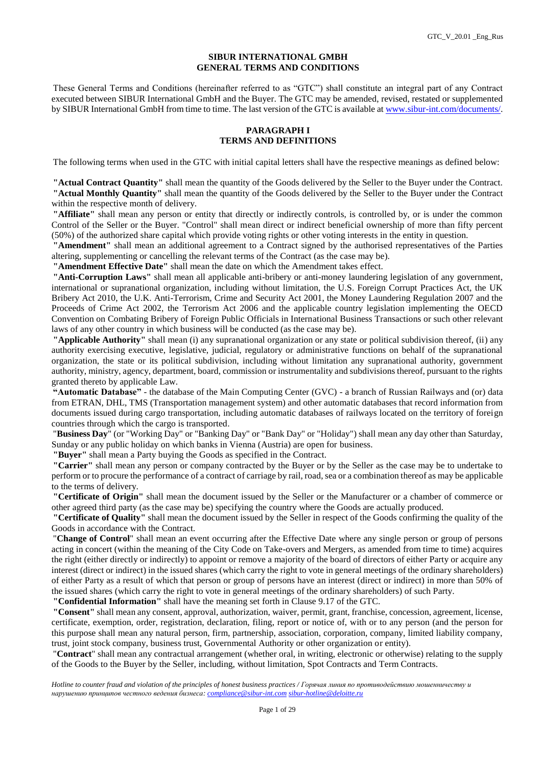#### **SIBUR INTERNATIONAL GMBH GENERAL TERMS AND CONDITIONS**

These General Terms and Conditions (hereinafter referred to as "GTC") shall constitute an integral part of any Contract executed between SIBUR International GmbH and the Buyer. The GTC may be amended, revised, restated or supplemented by SIBUR International GmbH from time to time. The last version of the GTC is available a[t www.sibur-int.com/documents/.](http://www.sibur-int.com/documents/)

### **PARAGRAPH I TERMS AND DEFINITIONS**

The following terms when used in the GTC with initial capital letters shall have the respective meanings as defined below:

**"Actual Contract Quantity"** shall mean the quantity of the Goods delivered by the Seller to the Buyer under the Contract. **"Actual Monthly Quantity"** shall mean the quantity of the Goods delivered by the Seller to the Buyer under the Contract within the respective month of delivery.

**"Affiliate"** shall mean any person or entity that directly or indirectly controls, is controlled by, or is under the common Control of the Seller or the Buyer. "Control" shall mean direct or indirect beneficial ownership of more than fifty percent (50%) of the authorized share capital which provide voting rights or other voting interests in the entity in question.

**"Amendment"** shall mean an additional agreement to a Contract signed by the authorised representatives of the Parties altering, supplementing or cancelling the relevant terms of the Contract (as the case may be).

**"Amendment Effective Date"** shall mean the date on which the Amendment takes effect.

**"Anti-Corruption Laws"** shall mean all applicable anti-bribery or anti-money laundering legislation of any government, international or supranational organization, including without limitation, the U.S. Foreign Corrupt Practices Act, the UK Bribery Act 2010, the U.K. Anti-Terrorism, Crime and Security Act 2001, the Money Laundering Regulation 2007 and the Proceeds of Crime Act 2002, the Terrorism Act 2006 and the applicable country legislation implementing the OECD Convention on Combating Bribery of Foreign Public Officials in International Business Transactions or such other relevant laws of any other country in which business will be conducted (as the case may be).

**"Applicable Authority"** shall mean (i) any supranational organization or any state or political subdivision thereof, (ii) any authority exercising executive, legislative, judicial, regulatory or administrative functions on behalf of the supranational organization, the state or its political subdivision, including without limitation any supranational authority, government authority, ministry, agency, department, board, commission or instrumentality and subdivisions thereof, pursuant to the rights granted thereto by applicable Law.

**"Automatic Database"** - the database of the Main Computing Center (GVC) - a branch of Russian Railways and (or) data from ETRAN, DHL, TMS (Transportation management system) and other automatic databases that record information from documents issued during cargo transportation, including automatic databases of railways located on the territory of foreign countries through which the cargo is transported.

"**Business Day**" (or "Working Day" or "Banking Day" or "Bank Day" or "Holiday") shall mean any day other than Saturday, Sunday or any public holiday on which banks in Vienna (Austria) are open for business.

**"Buyer"** shall mean a Party buying the Goods as specified in the Contract.

**"Carrier"** shall mean any person or company contracted by the Buyer or by the Seller as the case may be to undertake to perform or to procure the performance of a contract of carriage by rail, road, sea or a combination thereof as may be applicable to the terms of delivery.

**"Certificate of Origin"** shall mean the document issued by the Seller or the Manufacturer or a chamber of commerce or other agreed third party (as the case may be) specifying the country where the Goods are actually produced.

**"Certificate of Quality"** shall mean the document issued by the Seller in respect of the Goods confirming the quality of the Goods in accordance with the Contract.

"**Change of Control**" shall mean an event occurring after the Effective Date where any single person or group of persons acting in concert (within the meaning of the City Code on Take-overs and Mergers, as amended from time to time) acquires the right (either directly or indirectly) to appoint or remove a majority of the board of directors of either Party or acquire any interest (direct or indirect) in the issued shares (which carry the right to vote in general meetings of the ordinary shareholders) of either Party as a result of which that person or group of persons have an interest (direct or indirect) in more than 50% of the issued shares (which carry the right to vote in general meetings of the ordinary shareholders) of such Party.

**"Confidential Information"** shall have the meaning set forth in Clause 9.17 of the GTC.

**"Consent"** shall mean any consent, approval, authorization, waiver, permit, grant, franchise, concession, agreement, license, certificate, exemption, order, registration, declaration, filing, report or notice of, with or to any person (and the person for this purpose shall mean any natural person, firm, partnership, association, corporation, company, limited liability company, trust, joint stock company, business trust, Governmental Authority or other organization or entity).

"**Contract**" shall mean any contractual arrangement (whether oral, in writing, electronic or otherwise) relating to the supply of the Goods to the Buyer by the Seller, including, without limitation, Spot Contracts and Term Contracts.

*Hotline to counter fraud and violation of the principles of honest business practices / Горячая линия по противодействию мошенничеству и нарушению принципов честного ведения бизнеса: [compliance@sibur-int.com](mailto:compliance@sibur-int.com) [sibur-hotline@deloitte.ru](mailto:sibur-hotline@deloitte.ru)*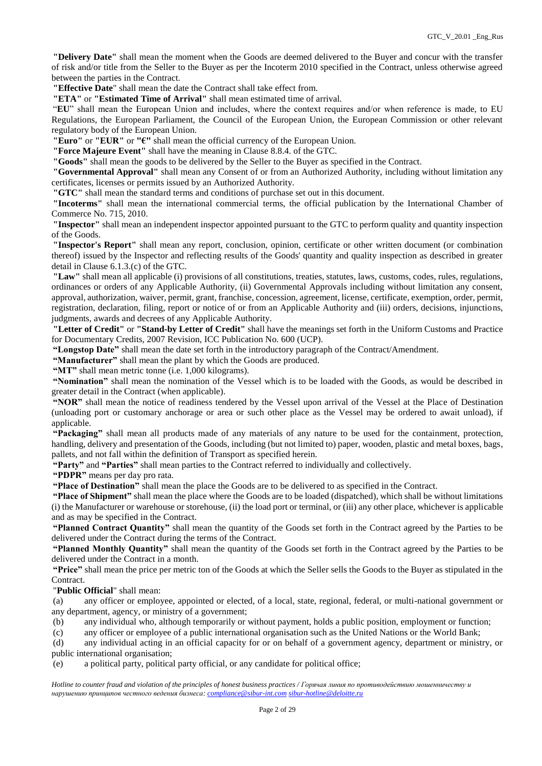**"Delivery Date"** shall mean the moment when the Goods are deemed delivered to the Buyer and concur with the transfer of risk and/or title from the Seller to the Buyer as per the Incoterm 2010 specified in the Contract, unless otherwise agreed between the parties in the Contract.

**"Effective Date**" shall mean the date the Contract shall take effect from.

**"ETA"** or **"Estimated Time of Arrival"** shall mean estimated time of arrival.

"**EU**" shall mean the European Union and includes, where the context requires and/or when reference is made, to EU Regulations, the European Parliament, the Council of the European Union, the European Commission or other relevant regulatory body of the European Union.

**"Euro"** or **"EUR"** or **"€"** shall mean the official currency of the European Union.

**"Force Majeure Event"** shall have the meaning in Clause 8.8.4. of the GTC.

**"Goods"** shall mean the goods to be delivered by the Seller to the Buyer as specified in the Contract.

**"Governmental Approval"** shall mean any Consent of or from an Authorized Authority, including without limitation any certificates, licenses or permits issued by an Authorized Authority.

**"GTC"** shall mean the standard terms and conditions of purchase set out in this document.

**"Incoterms"** shall mean the international commercial terms, the official publication by the International Chamber of Commerce No. 715, 2010.

**"Inspector"** shall mean an independent inspector appointed pursuant to the GTC to perform quality and quantity inspection of the Goods.

**"Inspector's Report"** shall mean any report, conclusion, opinion, certificate or other written document (or combination thereof) issued by the Inspector and reflecting results of the Goods' quantity and quality inspection as described in greater detail in Clause 6.1.3.(c) of the GTC.

**"Law"** shall mean all applicable (i) provisions of all constitutions, treaties, statutes, laws, customs, codes, rules, regulations, ordinances or orders of any Applicable Authority, (ii) Governmental Approvals including without limitation any consent, approval, authorization, waiver, permit, grant, franchise, concession, agreement, license, certificate, exemption, order, permit, registration, declaration, filing, report or notice of or from an Applicable Authority and (iii) orders, decisions, injunctions, judgments, awards and decrees of any Applicable Authority.

**"Letter of Credit"** or **"Stand-by Letter of Credit"** shall have the meanings set forth in the Uniform Customs and Practice for Documentary Credits, 2007 Revision, ICC Publication No. 600 (UCP).

**"Longstop Date"** shall mean the date set forth in the introductory paragraph of the Contract/Amendment.

**"Manufacturer"** shall mean the plant by which the Goods are produced.

**"MT"** shall mean metric tonne (i.e. 1,000 kilograms).

**"Nomination"** shall mean the nomination of the Vessel which is to be loaded with the Goods, as would be described in greater detail in the Contract (when applicable).

**"NOR"** shall mean the notice of readiness tendered by the Vessel upon arrival of the Vessel at the Place of Destination (unloading port or customary anchorage or area or such other place as the Vessel may be ordered to await unload), if applicable.

**"Packaging"** shall mean all products made of any materials of any nature to be used for the containment, protection, handling, delivery and presentation of the Goods, including (but not limited to) paper, wooden, plastic and metal boxes, bags, pallets, and not fall within the definition of Transport as specified herein.

**"Party"** and **"Parties"** shall mean parties to the Contract referred to individually and collectively.

**"PDPR"** means per day pro rata.

**"Place of Destination"** shall mean the place the Goods are to be delivered to as specified in the Contract.

**"Place of Shipment"** shall mean the place where the Goods are to be loaded (dispatched), which shall be without limitations (i) the Manufacturer or warehouse or storehouse, (ii) the load port or terminal, or (iii) any other place, whichever is applicable and as may be specified in the Contract.

**"Planned Contract Quantity"** shall mean the quantity of the Goods set forth in the Contract agreed by the Parties to be delivered under the Contract during the terms of the Contract.

**"Planned Monthly Quantity"** shall mean the quantity of the Goods set forth in the Contract agreed by the Parties to be delivered under the Contract in a month.

**"Price"** shall mean the price per metric ton of the Goods at which the Seller sells the Goods to the Buyer as stipulated in the Contract.

"**Public Official**" shall mean:

(a) any officer or employee, appointed or elected, of a local, state, regional, federal, or multi-national government or any department, agency, or ministry of a government;

(b) any individual who, although temporarily or without payment, holds a public position, employment or function;

(c) any officer or employee of a public international organisation such as the United Nations or the World Bank;

(d) any individual acting in an official capacity for or on behalf of a government agency, department or ministry, or public international organisation;

(e) a political party, political party official, or any candidate for political office;

*Hotline to counter fraud and violation of the principles of honest business practices / Горячая линия по противодействию мошенничеству и нарушению принципов честного ведения бизнеса: [compliance@sibur-int.com](mailto:compliance@sibur-int.com) [sibur-hotline@deloitte.ru](mailto:sibur-hotline@deloitte.ru)*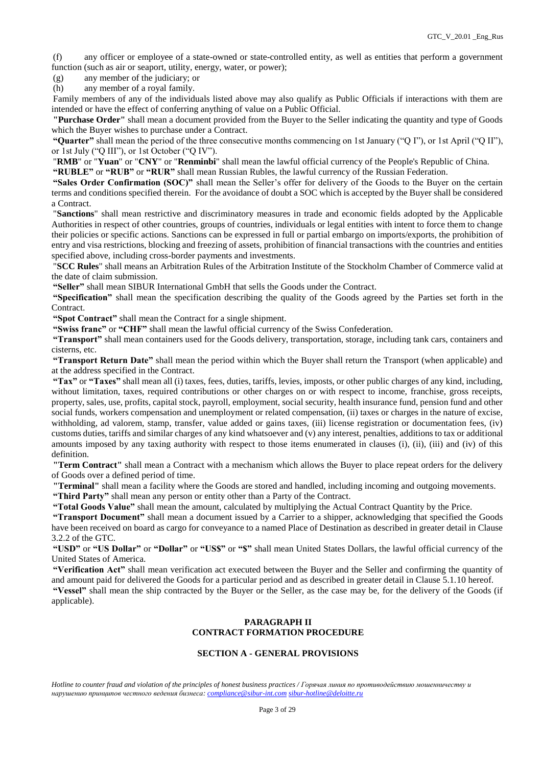(f) any officer or employee of a state-owned or state-controlled entity, as well as entities that perform a government function (such as air or seaport, utility, energy, water, or power);

(g) any member of the judiciary; or

(h) any member of a royal family.

Family members of any of the individuals listed above may also qualify as Public Officials if interactions with them are intended or have the effect of conferring anything of value on a Public Official.

**"Purchase Order"** shall mean a document provided from the Buyer to the Seller indicating the quantity and type of Goods which the Buyer wishes to purchase under a Contract.

**"Quarter"** shall mean the period of the three consecutive months commencing on 1st January ("Q I"), or 1st April ("Q II"), or 1st July ("Q III"), or 1st October ("Q IV").

"**RMB**" or "**Yuan**" or "**CNY**" or "**Renminbi**" shall mean the lawful official currency of the People's Republic of China.

**"RUBLE"** or **"RUB"** or **"RUR"** shall mean Russian Rubles, the lawful currency of the Russian Federation.

**"Sales Order Confirmation (SOC)"** shall mean the Seller's offer for delivery of the Goods to the Buyer on the certain terms and conditions specified therein. For the avoidance of doubt a SOC which is accepted by the Buyer shall be considered a Contract.

"**Sanctions**" shall mean restrictive and discriminatory measures in trade and economic fields adopted by the Applicable Authorities in respect of other countries, groups of countries, individuals or legal entities with intent to force them to change their policies or specific actions. Sanctions can be expressed in full or partial embargo on imports/exports, the prohibition of entry and visa restrictions, blocking and freezing of assets, prohibition of financial transactions with the countries and entities specified above, including cross-border payments and investments.

"**SCC Rules**" shall means an Arbitration Rules of the Arbitration Institute of the Stockholm Chamber of Commerce valid at the date of claim submission.

**"Seller"** shall mean SIBUR International GmbH that sells the Goods under the Contract.

**"Specification"** shall mean the specification describing the quality of the Goods agreed by the Parties set forth in the Contract.

**"Spot Contract"** shall mean the Contract for a single shipment.

**"Swiss franc"** or **"CHF"** shall mean the lawful official currency of the Swiss Confederation.

**"Transport"** shall mean containers used for the Goods delivery, transportation, storage, including tank cars, containers and cisterns, etc.

**"Transport Return Date"** shall mean the period within which the Buyer shall return the Transport (when applicable) and at the address specified in the Contract.

**"Tax"** or **"Taxes"** shall mean all (i) taxes, fees, duties, tariffs, levies, imposts, or other public charges of any kind, including, without limitation, taxes, required contributions or other charges on or with respect to income, franchise, gross receipts, property, sales, use, profits, capital stock, payroll, employment, social security, health insurance fund, pension fund and other social funds, workers compensation and unemployment or related compensation, (ii) taxes or charges in the nature of excise, withholding, ad valorem, stamp, transfer, value added or gains taxes, (iii) license registration or documentation fees, (iv) customs duties, tariffs and similar charges of any kind whatsoever and (v) any interest, penalties, additions to tax or additional amounts imposed by any taxing authority with respect to those items enumerated in clauses (i), (ii), (iii) and (iv) of this definition.

**"Term Contract"** shall mean a Contract with a mechanism which allows the Buyer to place repeat orders for the delivery of Goods over a defined period of time.

**"Terminal"** shall mean a facility where the Goods are stored and handled, including incoming and outgoing movements.

**"Third Party"** shall mean any person or entity other than a Party of the Contract.

**"Total Goods Value"** shall mean the amount, calculated by multiplying the Actual Contract Quantity by the Price.

**"Transport Document"** shall mean a document issued by a Carrier to a shipper, acknowledging that specified the Goods have been received on board as cargo for conveyance to a named Place of Destination as described in greater detail in Clause 3.2.2 of the GTC.

**"USD"** or **"US Dollar"** or **"Dollar"** or **"US\$"** or **"\$"** shall mean United States Dollars, the lawful official currency of the United States of America.

**"Verification Act"** shall mean verification act executed between the Buyer and the Seller and confirming the quantity of and amount paid for delivered the Goods for a particular period and as described in greater detail in Clause 5.1.10 hereof. **"Vessel"** shall mean the ship contracted by the Buyer or the Seller, as the case may be, for the delivery of the Goods (if applicable).

# **PARAGRAPH II CONTRACT FORMATION PROCEDURE**

### **SECTION A - GENERAL PROVISIONS**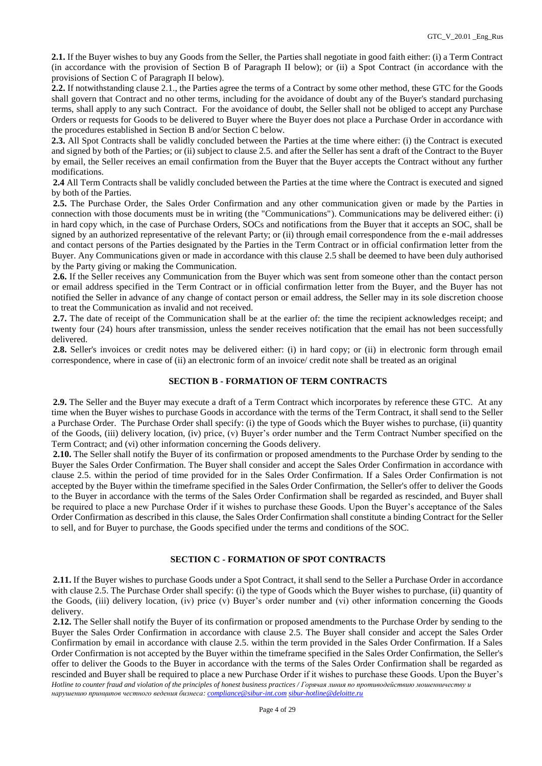**2.1.** If the Buyer wishes to buy any Goods from the Seller, the Parties shall negotiate in good faith either: (i) a Term Contract (in accordance with the provision of Section B of Paragraph II below); or (ii) a Spot Contract (in accordance with the provisions of Section C of Paragraph II below).

**2.2.** If notwithstanding clause 2.1., the Parties agree the terms of a Contract by some other method, these GTC for the Goods shall govern that Contract and no other terms, including for the avoidance of doubt any of the Buyer's standard purchasing terms, shall apply to any such Contract. For the avoidance of doubt, the Seller shall not be obliged to accept any Purchase Orders or requests for Goods to be delivered to Buyer where the Buyer does not place a Purchase Order in accordance with the procedures established in Section B and/or Section C below.

**2.3.** All Spot Contracts shall be validly concluded between the Parties at the time where either: (i) the Contract is executed and signed by both of the Parties; or (ii) subject to clause 2.5. and after the Seller has sent a draft of the Contract to the Buyer by email, the Seller receives an email confirmation from the Buyer that the Buyer accepts the Contract without any further modifications.

**2.4** All Term Contracts shall be validly concluded between the Parties at the time where the Contract is executed and signed by both of the Parties.

**2.5.** The Purchase Order, the Sales Order Confirmation and any other communication given or made by the Parties in connection with those documents must be in writing (the "Communications"). Communications may be delivered either: (i) in hard copy which, in the case of Purchase Orders, SOCs and notifications from the Buyer that it accepts an SOC, shall be signed by an authorized representative of the relevant Party; or (ii) through email correspondence from the e-mail addresses and contact persons of the Parties designated by the Parties in the Term Contract or in official confirmation letter from the Buyer. Any Communications given or made in accordance with this clause 2.5 shall be deemed to have been duly authorised by the Party giving or making the Communication.

**2.6.** If the Seller receives any Communication from the Buyer which was sent from someone other than the contact person or email address specified in the Term Contract or in official confirmation letter from the Buyer, and the Buyer has not notified the Seller in advance of any change of contact person or email address, the Seller may in its sole discretion choose to treat the Communication as invalid and not received.

**2.7.** The date of receipt of the Communication shall be at the earlier of: the time the recipient acknowledges receipt; and twenty four (24) hours after transmission, unless the sender receives notification that the email has not been successfully delivered.

**2.8.** Seller's invoices or credit notes may be delivered either: (i) in hard copy; or (ii) in electronic form through email correspondence, where in case of (ii) an electronic form of an invoice/ credit note shall be treated as an original

# **SECTION B - FORMATION OF TERM CONTRACTS**

**2.9.** The Seller and the Buyer may execute a draft of a Term Contract which incorporates by reference these GTC. At any time when the Buyer wishes to purchase Goods in accordance with the terms of the Term Contract, it shall send to the Seller a Purchase Order. The Purchase Order shall specify: (i) the type of Goods which the Buyer wishes to purchase, (ii) quantity of the Goods, (iii) delivery location, (iv) price, (v) Buyer's order number and the Term Contract Number specified on the Term Contract; and (vi) other information concerning the Goods delivery.

**2.10.** The Seller shall notify the Buyer of its confirmation or proposed amendments to the Purchase Order by sending to the Buyer the Sales Order Confirmation. The Buyer shall consider and accept the Sales Order Confirmation in accordance with clause 2.5. within the period of time provided for in the Sales Order Confirmation. If a Sales Order Confirmation is not accepted by the Buyer within the timeframe specified in the Sales Order Confirmation, the Seller's offer to deliver the Goods to the Buyer in accordance with the terms of the Sales Order Confirmation shall be regarded as rescinded, and Buyer shall be required to place a new Purchase Order if it wishes to purchase these Goods. Upon the Buyer's acceptance of the Sales Order Confirmation as described in this clause, the Sales Order Confirmation shall constitute a binding Contract for the Seller to sell, and for Buyer to purchase, the Goods specified under the terms and conditions of the SOC.

#### **SECTION C - FORMATION OF SPOT CONTRACTS**

**2.11.** If the Buyer wishes to purchase Goods under a Spot Contract, it shall send to the Seller a Purchase Order in accordance with clause 2.5. The Purchase Order shall specify: (i) the type of Goods which the Buyer wishes to purchase, (ii) quantity of the Goods, (iii) delivery location, (iv) price (v) Buyer's order number and (vi) other information concerning the Goods delivery.

*Hotline to counter fraud and violation of the principles of honest business practices / Горячая линия по противодействию мошенничеству и нарушению принципов честного ведения бизнеса: [compliance@sibur-int.com](mailto:compliance@sibur-int.com) [sibur-hotline@deloitte.ru](mailto:sibur-hotline@deloitte.ru)* **2.12.** The Seller shall notify the Buyer of its confirmation or proposed amendments to the Purchase Order by sending to the Buyer the Sales Order Confirmation in accordance with clause 2.5. The Buyer shall consider and accept the Sales Order Confirmation by email in accordance with clause 2.5. within the term provided in the Sales Order Confirmation. If a Sales Order Confirmation is not accepted by the Buyer within the timeframe specified in the Sales Order Confirmation, the Seller's offer to deliver the Goods to the Buyer in accordance with the terms of the Sales Order Confirmation shall be regarded as rescinded and Buyer shall be required to place a new Purchase Order if it wishes to purchase these Goods. Upon the Buyer's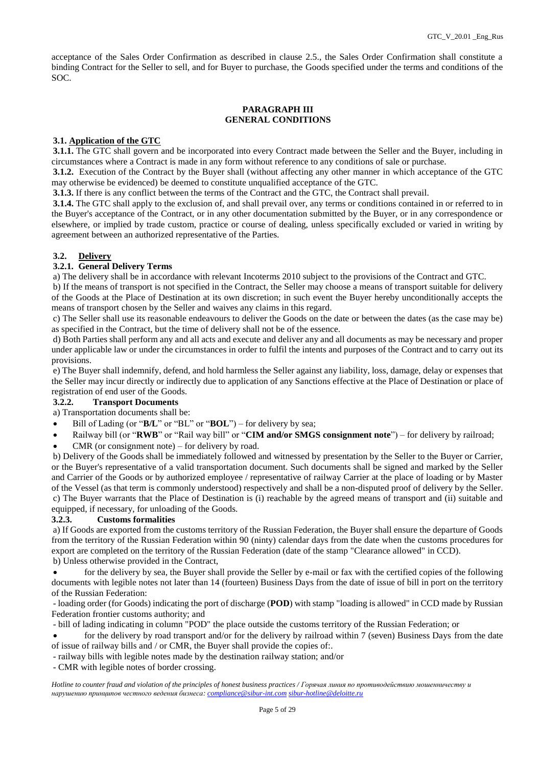acceptance of the Sales Order Confirmation as described in clause 2.5., the Sales Order Confirmation shall constitute a binding Contract for the Seller to sell, and for Buyer to purchase, the Goods specified under the terms and conditions of the SOC.

### **PARAGRAPH III GENERAL CONDITIONS**

# **3.1. Application of the GTC**

**3.1.1.** The GTC shall govern and be incorporated into every Contract made between the Seller and the Buyer, including in circumstances where a Contract is made in any form without reference to any conditions of sale or purchase.

**3.1.2.** Execution of the Contract by the Buyer shall (without affecting any other manner in which acceptance of the GTC may otherwise be evidenced) be deemed to constitute unqualified acceptance of the GTC.

**3.1.3.** If there is any conflict between the terms of the Contract and the GTC, the Contract shall prevail.

**3.1.4.** The GTC shall apply to the exclusion of, and shall prevail over, any terms or conditions contained in or referred to in the Buyer's acceptance of the Contract, or in any other documentation submitted by the Buyer, or in any correspondence or elsewhere, or implied by trade custom, practice or course of dealing, unless specifically excluded or varied in writing by agreement between an authorized representative of the Parties.

# **3.2. Delivery**

# **3.2.1. General Delivery Terms**

a) The delivery shall be in accordance with relevant Incoterms 2010 subject to the provisions of the Contract and GTC.

b) If the means of transport is not specified in the Contract, the Seller may choose a means of transport suitable for delivery of the Goods at the Place of Destination at its own discretion; in such event the Buyer hereby unconditionally accepts the means of transport chosen by the Seller and waives any claims in this regard.

c) The Seller shall use its reasonable endeavours to deliver the Goods on the date or between the dates (as the case may be) as specified in the Contract, but the time of delivery shall not be of the essence.

d) Both Parties shall perform any and all acts and execute and deliver any and all documents as may be necessary and proper under applicable law or under the circumstances in order to fulfil the intents and purposes of the Contract and to carry out its provisions.

e) The Buyer shall indemnify, defend, and hold harmless the Seller against any liability, loss, damage, delay or expenses that the Seller may incur directly or indirectly due to application of any Sanctions effective at the Place of Destination or place of registration of end user of the Goods.

# **3.2.2. Transport Documents**

a) Transportation documents shall be:

- Bill of Lading (or "**B/L**" or "BL" or "**BOL**") for delivery by sea;
- Railway bill (or "**RWB**" or "Rail way bill" or "**CIM and/or SMGS consignment note**") for delivery by railroad;
- CMR (or consignment note) for delivery by road.

b) Delivery of the Goods shall be immediately followed and witnessed by presentation by the Seller to the Buyer or Carrier, or the Buyer's representative of a valid transportation document. Such documents shall be signed and marked by the Seller and Carrier of the Goods or by authorized employee / representative of railway Carrier at the place of loading or by Master of the Vessel (as that term is commonly understood) respectively and shall be a non-disputed proof of delivery by the Seller. c) The Buyer warrants that the Place of Destination is (i) reachable by the agreed means of transport and (ii) suitable and equipped, if necessary, for unloading of the Goods.

#### **3.2.3. Customs formalities**

a) If Goods are exported from the customs territory of the Russian Federation, the Buyer shall ensure the departure of Goods from the territory of the Russian Federation within 90 (ninty) calendar days from the date when the customs procedures for export are completed on the territory of the Russian Federation (date of the stamp "Clearance allowed" in CCD). b) Unless otherwise provided in the Contract,

 for the delivery by sea, the Buyer shall provide the Seller by e-mail or fax with the certified copies of the following documents with legible notes not later than 14 (fourteen) Business Days from the date of issue of bill in port on the territory of the Russian Federation:

- loading order (for Goods) indicating the port of discharge (**POD**) with stamp "loading is allowed" in CCD made by Russian Federation frontier customs authority; and

- bill of lading indicating in column "POD" the place outside the customs territory of the Russian Federation; or

 for the delivery by road transport and/or for the delivery by railroad within 7 (seven) Business Days from the date of issue of railway bills and / or CMR, the Buyer shall provide the copies of:.

- railway bills with legible notes made by the destination railway station; and/or

- CMR with legible notes of border crossing.

*Hotline to counter fraud and violation of the principles of honest business practices / Горячая линия по противодействию мошенничеству и нарушению принципов честного ведения бизнеса: [compliance@sibur-int.com](mailto:compliance@sibur-int.com) [sibur-hotline@deloitte.ru](mailto:sibur-hotline@deloitte.ru)*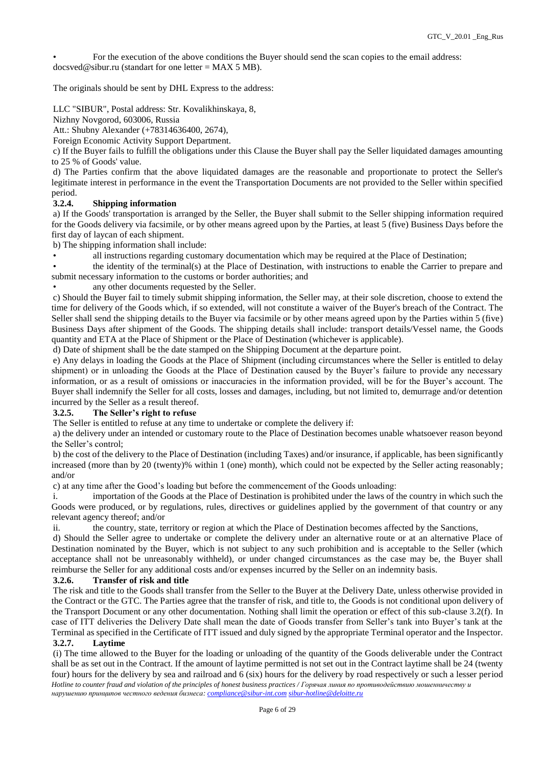• For the execution of the above conditions the Buyer should send the scan copies to the email address:  $d$ ocsved@sibur.ru (standart for one letter = MAX 5 MB).

The originals should be sent by DHL Express to the address:

LLC "SIBUR", Postal address: Str. Kovalikhinskaya, 8,

Nizhny Novgorod, 603006, Russia

Att.: Shubny Alexander (+78314636400, 2674),

Foreign Economic Activity Support Department.

c) If the Buyer fails to fulfill the obligations under this Clause the Buyer shall pay the Seller liquidated damages amounting to 25 % of Goods' value.

d) The Parties confirm that the above liquidated damages are the reasonable and proportionate to protect the Seller's legitimate interest in performance in the event the Transportation Documents are not provided to the Seller within specified period.

### **3.2.4. Shipping information**

a) If the Goods' transportation is arranged by the Seller, the Buyer shall submit to the Seller shipping information required for the Goods delivery via facsimile, or by other means agreed upon by the Parties, at least 5 (five) Business Days before the first day of laycan of each shipment.

b) The shipping information shall include:

• all instructions regarding customary documentation which may be required at the Place of Destination;

• the identity of the terminal(s) at the Place of Destination, with instructions to enable the Carrier to prepare and submit necessary information to the customs or border authorities; and

any other documents requested by the Seller.

c) Should the Buyer fail to timely submit shipping information, the Seller may, at their sole discretion, choose to extend the time for delivery of the Goods which, if so extended, will not constitute a waiver of the Buyer's breach of the Contract. The Seller shall send the shipping details to the Buyer via facsimile or by other means agreed upon by the Parties within 5 (five) Business Days after shipment of the Goods. The shipping details shall include: transport details/Vessel name, the Goods quantity and ETA at the Place of Shipment or the Place of Destination (whichever is applicable).

d) Date of shipment shall be the date stamped on the Shipping Document at the departure point.

e) Any delays in loading the Goods at the Place of Shipment (including circumstances where the Seller is entitled to delay shipment) or in unloading the Goods at the Place of Destination caused by the Buyer's failure to provide any necessary information, or as a result of omissions or inaccuracies in the information provided, will be for the Buyer's account. The Buyer shall indemnify the Seller for all costs, losses and damages, including, but not limited to, demurrage and/or detention incurred by the Seller as a result thereof.

### **3.2.5. The Seller's right to refuse**

The Seller is entitled to refuse at any time to undertake or complete the delivery if:

a) the delivery under an intended or customary route to the Place of Destination becomes unable whatsoever reason beyond the Seller's control;

b) the cost of the delivery to the Place of Destination (including Taxes) and/or insurance, if applicable, has been significantly increased (more than by 20 (twenty)% within 1 (one) month), which could not be expected by the Seller acting reasonably; and/or

c) at any time after the Good's loading but before the commencement of the Goods unloading:

i. importation of the Goods at the Place of Destination is prohibited under the laws of the country in which such the Goods were produced, or by regulations, rules, directives or guidelines applied by the government of that country or any relevant agency thereof; and/or

ii. the country, state, territory or region at which the Place of Destination becomes affected by the Sanctions,

d) Should the Seller agree to undertake or complete the delivery under an alternative route or at an alternative Place of Destination nominated by the Buyer, which is not subject to any such prohibition and is acceptable to the Seller (which acceptance shall not be unreasonably withheld), or under changed circumstances as the case may be, the Buyer shall reimburse the Seller for any additional costs and/or expenses incurred by the Seller on an indemnity basis.

#### **3.2.6. Transfer of risk and title**

The risk and title to the Goods shall transfer from the Seller to the Buyer at the Delivery Date, unless otherwise provided in the Contract or the GTC. The Parties agree that the transfer of risk, and title to, the Goods is not conditional upon delivery of the Transport Document or any other documentation. Nothing shall limit the operation or effect of this sub-clause 3.2(f). In case of ITT deliveries the Delivery Date shall mean the date of Goods transfer from Seller's tank into Buyer's tank at the Terminal as specified in the Certificate of ITT issued and duly signed by the appropriate Terminal operator and the Inspector. **3.2.7. Laytime**

*Hotline to counter fraud and violation of the principles of honest business practices / Горячая линия по противодействию мошенничеству и нарушению принципов честного ведения бизнеса: [compliance@sibur-int.com](mailto:compliance@sibur-int.com) [sibur-hotline@deloitte.ru](mailto:sibur-hotline@deloitte.ru)* (i) The time allowed to the Buyer for the loading or unloading of the quantity of the Goods deliverable under the Contract shall be as set out in the Contract. If the amount of laytime permitted is not set out in the Contract laytime shall be 24 (twenty four) hours for the delivery by sea and railroad and 6 (six) hours for the delivery by road respectively or such a lesser period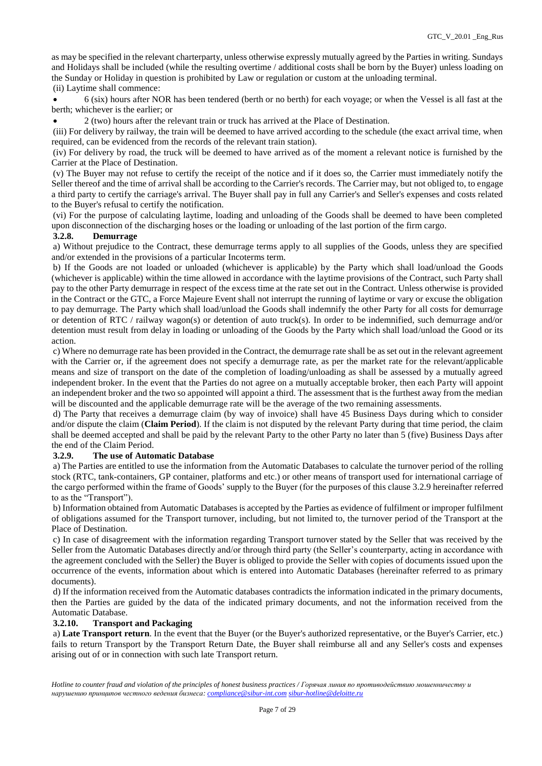as may be specified in the relevant charterparty, unless otherwise expressly mutually agreed by the Parties in writing. Sundays and Holidays shall be included (while the resulting overtime / additional costs shall be born by the Buyer) unless loading on the Sunday or Holiday in question is prohibited by Law or regulation or custom at the unloading terminal. (ii) Laytime shall commence:

 6 (six) hours after NOR has been tendered (berth or no berth) for each voyage; or when the Vessel is all fast at the berth; whichever is the earlier; or

2 (two) hours after the relevant train or truck has arrived at the Place of Destination.

(iii) For delivery by railway, the train will be deemed to have arrived according to the schedule (the exact arrival time, when required, can be evidenced from the records of the relevant train station).

(iv) For delivery by road, the truck will be deemed to have arrived as of the moment a relevant notice is furnished by the Carrier at the Place of Destination.

(v) The Buyer may not refuse to certify the receipt of the notice and if it does so, the Carrier must immediately notify the Seller thereof and the time of arrival shall be according to the Carrier's records. The Carrier may, but not obliged to, to engage a third party to certify the carriage's arrival. The Buyer shall pay in full any Carrier's and Seller's expenses and costs related to the Buyer's refusal to certify the notification.

(vi) For the purpose of calculating laytime, loading and unloading of the Goods shall be deemed to have been completed upon disconnection of the discharging hoses or the loading or unloading of the last portion of the firm cargo.

#### **3.2.8. Demurrage**

a) Without prejudice to the Contract, these demurrage terms apply to all supplies of the Goods, unless they are specified and/or extended in the provisions of a particular Incoterms term.

b) If the Goods are not loaded or unloaded (whichever is applicable) by the Party which shall load/unload the Goods (whichever is applicable) within the time allowed in accordance with the laytime provisions of the Contract, such Party shall pay to the other Party demurrage in respect of the excess time at the rate set out in the Contract. Unless otherwise is provided in the Contract or the GTC, a Force Majeure Event shall not interrupt the running of laytime or vary or excuse the obligation to pay demurrage. The Party which shall load/unload the Goods shall indemnify the other Party for all costs for demurrage or detention of RTC / railway wagon(s) or detention of auto truck(s). In order to be indemnified, such demurrage and/or detention must result from delay in loading or unloading of the Goods by the Party which shall load/unload the Good or its action.

c) Where no demurrage rate has been provided in the Contract, the demurrage rate shall be as set out in the relevant agreement with the Carrier or, if the agreement does not specify a demurrage rate, as per the market rate for the relevant/applicable means and size of transport on the date of the completion of loading/unloading as shall be assessed by a mutually agreed independent broker. In the event that the Parties do not agree on a mutually acceptable broker, then each Party will appoint an independent broker and the two so appointed will appoint a third. The assessment that is the furthest away from the median will be discounted and the applicable demurrage rate will be the average of the two remaining assessments.

d) The Party that receives a demurrage claim (by way of invoice) shall have 45 Business Days during which to consider and/or dispute the claim (**Claim Period**). If the claim is not disputed by the relevant Party during that time period, the claim shall be deemed accepted and shall be paid by the relevant Party to the other Party no later than 5 (five) Business Days after the end of the Claim Period.

# **3.2.9. The use of Automatic Database**

a) The Parties are entitled to use the information from the Automatic Databases to calculate the turnover period of the rolling stock (RTC, tank-containers, GP container, platforms and etc.) or other means of transport used for international carriage of the cargo performed within the frame of Goods' supply to the Buyer (for the purposes of this clause 3.2.9 hereinafter referred to as the "Transport").

b) Information obtained from Automatic Databases is accepted by the Parties as evidence of fulfilment or improper fulfilment of obligations assumed for the Transport turnover, including, but not limited to, the turnover period of the Transport at the Place of Destination.

c) In case of disagreement with the information regarding Transport turnover stated by the Seller that was received by the Seller from the Automatic Databases directly and/or through third party (the Seller's counterparty, acting in accordance with the agreement concluded with the Seller) the Buyer is obliged to provide the Seller with copies of documents issued upon the occurrence of the events, information about which is entered into Automatic Databases (hereinafter referred to as primary documents).

d) If the information received from the Automatic databases contradicts the information indicated in the primary documents, then the Parties are guided by the data of the indicated primary documents, and not the information received from the Automatic Database.

### **3.2.10. Transport and Packaging**

a) **Late Transport return**. In the event that the Buyer (or the Buyer's authorized representative, or the Buyer's Carrier, etc.) fails to return Transport by the Transport Return Date, the Buyer shall reimburse all and any Seller's costs and expenses arising out of or in connection with such late Transport return.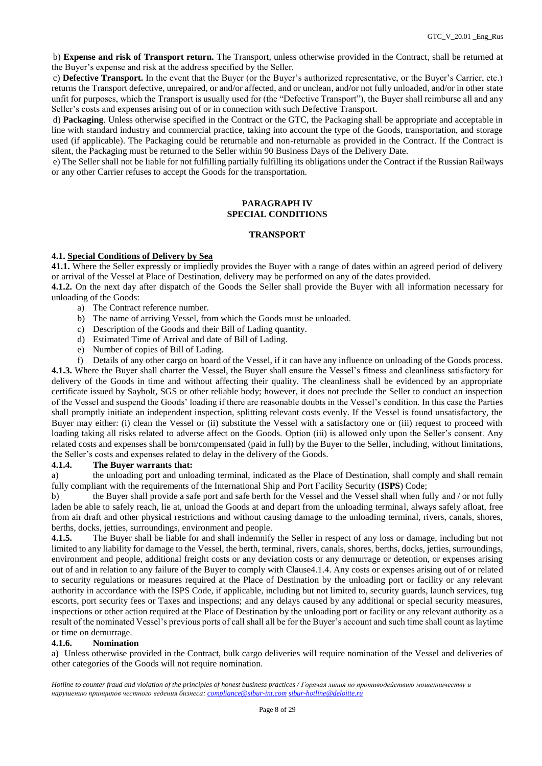b) **Expense and risk of Transport return.** The Transport, unless otherwise provided in the Contract, shall be returned at the Buyer's expense and risk at the address specified by the Seller.

c) **Defective Transport.** In the event that the Buyer (or the Buyer's authorized representative, or the Buyer's Carrier, etc.) returns the Transport defective, unrepaired, or and/or affected, and or unclean, and/or not fully unloaded, and/or in other state unfit for purposes, which the Transport is usually used for (the "Defective Transport"), the Buyer shall reimburse all and any Seller's costs and expenses arising out of or in connection with such Defective Transport.

d) **Packaging**. Unless otherwise specified in the Contract or the GTC, the Packaging shall be appropriate and acceptable in line with standard industry and commercial practice, taking into account the type of the Goods, transportation, and storage used (if applicable). The Packaging could be returnable and non-returnable as provided in the Contract. If the Contract is silent, the Packaging must be returned to the Seller within 90 Business Days of the Delivery Date.

e) The Seller shall not be liable for not fulfilling partially fulfilling its obligations under the Contract if the Russian Railways or any other Carrier refuses to accept the Goods for the transportation.

### **PARAGRAPH IV SPECIAL CONDITIONS**

# **TRANSPORT**

# **4.1. Special Conditions of Delivery by Sea**

**41.1.** Where the Seller expressly or impliedly provides the Buyer with a range of dates within an agreed period of delivery or arrival of the Vessel at Place of Destination, delivery may be performed on any of the dates provided.

**4.1.2.** On the next day after dispatch of the Goods the Seller shall provide the Buyer with all information necessary for unloading of the Goods:

- a) The Contract reference number.
- b) The name of arriving Vessel, from which the Goods must be unloaded.
- c) Description of the Goods and their Bill of Lading quantity.
- d) Estimated Time of Arrival and date of Bill of Lading.
- e) Number of copies of Bill of Lading.
- f) Details of any other cargo on board of the Vessel, if it can have any influence on unloading of the Goods process.

**4.1.3.** Where the Buyer shall charter the Vessel, the Buyer shall ensure the Vessel's fitness and cleanliness satisfactory for delivery of the Goods in time and without affecting their quality. The cleanliness shall be evidenced by an appropriate certificate issued by Saybolt, SGS or other reliable body; however, it does not preclude the Seller to conduct an inspection of the Vessel and suspend the Goods' loading if there are reasonable doubts in the Vessel's condition. In this case the Parties shall promptly initiate an independent inspection, splitting relevant costs evenly. If the Vessel is found unsatisfactory, the Buyer may either: (i) clean the Vessel or (ii) substitute the Vessel with a satisfactory one or (iii) request to proceed with loading taking all risks related to adverse affect on the Goods. Option (iii) is allowed only upon the Seller's consent. Any related costs and expenses shall be born/compensated (paid in full) by the Buyer to the Seller, including, without limitations, the Seller's costs and expenses related to delay in the delivery of the Goods.

#### **4.1.4. The Buyer warrants that:**

a) the unloading port and unloading terminal, indicated as the Place of Destination, shall comply and shall remain fully compliant with the requirements of the International Ship and Port Facility Security (**ISPS**) Code;

b) the Buyer shall provide a safe port and safe berth for the Vessel and the Vessel shall when fully and / or not fully laden be able to safely reach, lie at, unload the Goods at and depart from the unloading terminal, always safely afloat, free from air draft and other physical restrictions and without causing damage to the unloading terminal, rivers, canals, shores, berths, docks, jetties, surroundings, environment and people.

**4.1.5.** The Buyer shall be liable for and shall indemnify the Seller in respect of any loss or damage, including but not limited to any liability for damage to the Vessel, the berth, terminal, rivers, canals, shores, berths, docks, jetties, surroundings, environment and people, additional freight costs or any deviation costs or any demurrage or detention, or expenses arising out of and in relation to any failure of the Buyer to comply with Clause4.1.4. Any costs or expenses arising out of or related to security regulations or measures required at the Place of Destination by the unloading port or facility or any relevant authority in accordance with the ISPS Code, if applicable, including but not limited to, security guards, launch services, tug escorts, port security fees or Taxes and inspections; and any delays caused by any additional or special security measures, inspections or other action required at the Place of Destination by the unloading port or facility or any relevant authority as a result of the nominated Vessel's previous ports of call shall all be for the Buyer's account and such time shall count as laytime or time on demurrage.

#### **4.1.6. Nomination**

a) Unless otherwise provided in the Contract, bulk cargo deliveries will require nomination of the Vessel and deliveries of other categories of the Goods will not require nomination.

*Hotline to counter fraud and violation of the principles of honest business practices / Горячая линия по противодействию мошенничеству и нарушению принципов честного ведения бизнеса: [compliance@sibur-int.com](mailto:compliance@sibur-int.com) [sibur-hotline@deloitte.ru](mailto:sibur-hotline@deloitte.ru)*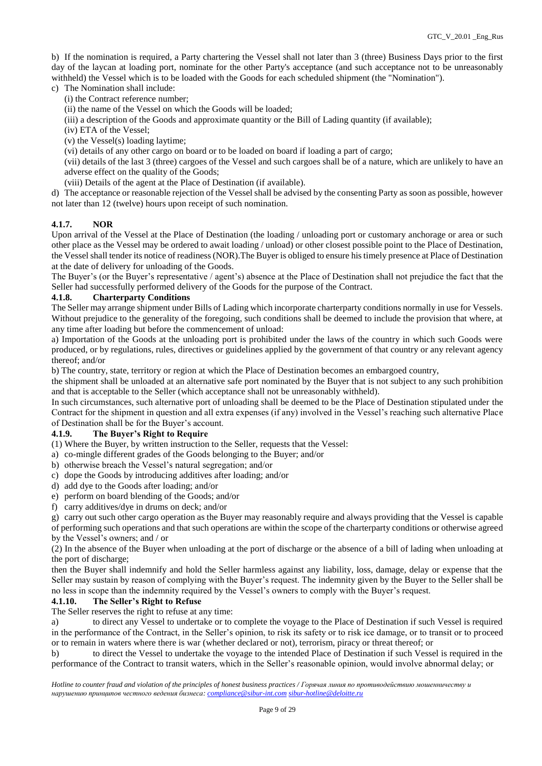b) If the nomination is required, a Party chartering the Vessel shall not later than 3 (three) Business Days prior to the first day of the laycan at loading port, nominate for the other Party's acceptance (and such acceptance not to be unreasonably withheld) the Vessel which is to be loaded with the Goods for each scheduled shipment (the "Nomination").

c) The Nomination shall include:

- (i) the Contract reference number;
- (ii) the name of the Vessel on which the Goods will be loaded;
- (iii) a description of the Goods and approximate quantity or the Bill of Lading quantity (if available);
- (iv) ETA of the Vessel;
- (v) the Vessel(s) loading laytime;
- (vi) details of any other cargo on board or to be loaded on board if loading a part of cargo;

(vii) details of the last 3 (three) cargoes of the Vessel and such cargoes shall be of a nature, which are unlikely to have an adverse effect on the quality of the Goods;

- (viii) Details of the agent at the Place of Destination (if available).
- d) The acceptance or reasonable rejection of the Vessel shall be advised by the consenting Party as soon as possible, however not later than 12 (twelve) hours upon receipt of such nomination.

### **4.1.7. NOR**

Upon arrival of the Vessel at the Place of Destination (the loading / unloading port or customary anchorage or area or such other place as the Vessel may be ordered to await loading / unload) or other closest possible point to the Place of Destination, the Vessel shall tender its notice of readiness (NOR).The Buyer is obliged to ensure his timely presence at Place of Destination at the date of delivery for unloading of the Goods.

The Buyer's (or the Buyer's representative / agent's) absence at the Place of Destination shall not prejudice the fact that the Seller had successfully performed delivery of the Goods for the purpose of the Contract.

#### **4.1.8. Charterparty Conditions**

The Seller may arrange shipment under Bills of Lading which incorporate charterparty conditions normally in use for Vessels. Without prejudice to the generality of the foregoing, such conditions shall be deemed to include the provision that where, at any time after loading but before the commencement of unload:

a) Importation of the Goods at the unloading port is prohibited under the laws of the country in which such Goods were produced, or by regulations, rules, directives or guidelines applied by the government of that country or any relevant agency thereof; and/or

b) The country, state, territory or region at which the Place of Destination becomes an embargoed country,

the shipment shall be unloaded at an alternative safe port nominated by the Buyer that is not subject to any such prohibition and that is acceptable to the Seller (which acceptance shall not be unreasonably withheld).

In such circumstances, such alternative port of unloading shall be deemed to be the Place of Destination stipulated under the Contract for the shipment in question and all extra expenses (if any) involved in the Vessel's reaching such alternative Place of Destination shall be for the Buyer's account.

#### **4.1.9. The Buyer's Right to Require**

(1) Where the Buyer, by written instruction to the Seller, requests that the Vessel:

- a) co-mingle different grades of the Goods belonging to the Buyer; and/or
- b) otherwise breach the Vessel's natural segregation; and/or
- c) dope the Goods by introducing additives after loading; and/or
- d) add dye to the Goods after loading; and/or
- e) perform on board blending of the Goods; and/or
- f) carry additives/dye in drums on deck; and/or

g) carry out such other cargo operation as the Buyer may reasonably require and always providing that the Vessel is capable of performing such operations and that such operations are within the scope of the charterparty conditions or otherwise agreed by the Vessel's owners; and / or

(2) In the absence of the Buyer when unloading at the port of discharge or the absence of a bill of lading when unloading at the port of discharge;

then the Buyer shall indemnify and hold the Seller harmless against any liability, loss, damage, delay or expense that the Seller may sustain by reason of complying with the Buyer's request. The indemnity given by the Buyer to the Seller shall be no less in scope than the indemnity required by the Vessel's owners to comply with the Buyer's request.

### **4.1.10. The Seller's Right to Refuse**

The Seller reserves the right to refuse at any time:

a) to direct any Vessel to undertake or to complete the voyage to the Place of Destination if such Vessel is required in the performance of the Contract, in the Seller's opinion, to risk its safety or to risk ice damage, or to transit or to proceed or to remain in waters where there is war (whether declared or not), terrorism, piracy or threat thereof; or

b) to direct the Vessel to undertake the voyage to the intended Place of Destination if such Vessel is required in the performance of the Contract to transit waters, which in the Seller's reasonable opinion, would involve abnormal delay; or

*Hotline to counter fraud and violation of the principles of honest business practices / Горячая линия по противодействию мошенничеству и нарушению принципов честного ведения бизнеса: [compliance@sibur-int.com](mailto:compliance@sibur-int.com) [sibur-hotline@deloitte.ru](mailto:sibur-hotline@deloitte.ru)*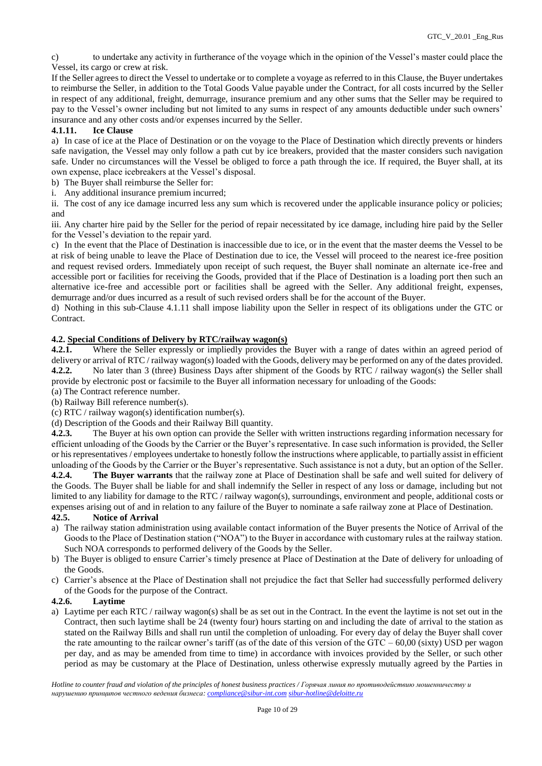c) to undertake any activity in furtherance of the voyage which in the opinion of the Vessel's master could place the Vessel, its cargo or crew at risk.

If the Seller agrees to direct the Vessel to undertake or to complete a voyage as referred to in this Clause, the Buyer undertakes to reimburse the Seller, in addition to the Total Goods Value payable under the Contract, for all costs incurred by the Seller in respect of any additional, freight, demurrage, insurance premium and any other sums that the Seller may be required to pay to the Vessel's owner including but not limited to any sums in respect of any amounts deductible under such owners' insurance and any other costs and/or expenses incurred by the Seller.

# **4.1.11. Ice Clause**

a) In case of ice at the Place of Destination or on the voyage to the Place of Destination which directly prevents or hinders safe navigation, the Vessel may only follow a path cut by ice breakers, provided that the master considers such navigation safe. Under no circumstances will the Vessel be obliged to force a path through the ice. If required, the Buyer shall, at its own expense, place icebreakers at the Vessel's disposal.

- b) The Buyer shall reimburse the Seller for:
- i. Any additional insurance premium incurred;

ii. The cost of any ice damage incurred less any sum which is recovered under the applicable insurance policy or policies; and

iii. Any charter hire paid by the Seller for the period of repair necessitated by ice damage, including hire paid by the Seller for the Vessel's deviation to the repair yard.

c) In the event that the Place of Destination is inaccessible due to ice, or in the event that the master deems the Vessel to be at risk of being unable to leave the Place of Destination due to ice, the Vessel will proceed to the nearest ice-free position and request revised orders. Immediately upon receipt of such request, the Buyer shall nominate an alternate ice-free and accessible port or facilities for receiving the Goods, provided that if the Place of Destination is a loading port then such an alternative ice-free and accessible port or facilities shall be agreed with the Seller. Any additional freight, expenses, demurrage and/or dues incurred as a result of such revised orders shall be for the account of the Buyer.

d) Nothing in this sub-Clause 4.1.11 shall impose liability upon the Seller in respect of its obligations under the GTC or Contract.

# **4.2. Special Conditions of Delivery by RTC/railway wagon(s)**

**4.2.1.** Where the Seller expressly or impliedly provides the Buyer with a range of dates within an agreed period of delivery or arrival of RTC / railway wagon(s) loaded with the Goods, delivery may be performed on any of the dates provided. **4.2.2.** No later than 3 (three) Business Days after shipment of the Goods by RTC / railway wagon(s) the Seller shall provide by electronic post or facsimile to the Buyer all information necessary for unloading of the Goods:

(a) The Contract reference number.

(b) Railway Bill reference number(s). (c) RTC / railway wagon(s) identification number(s).

(d) Description of the Goods and their Railway Bill quantity.

**4.2.3.** The Buyer at his own option can provide the Seller with written instructions regarding information necessary for efficient unloading of the Goods by the Carrier or the Buyer's representative. In case such information is provided, the Seller or his representatives / employees undertake to honestly follow the instructions where applicable, to partially assist in efficient unloading of the Goods by the Carrier or the Buyer's representative. Such assistance is not a duty, but an option of the Seller.

**4.2.4. The Buyer warrants** that the railway zone at Place of Destination shall be safe and well suited for delivery of the Goods. The Buyer shall be liable for and shall indemnify the Seller in respect of any loss or damage, including but not limited to any liability for damage to the RTC / railway wagon(s), surroundings, environment and people, additional costs or expenses arising out of and in relation to any failure of the Buyer to nominate a safe railway zone at Place of Destination.

# **42.5. Notice of Arrival**

- a) The railway station administration using available contact information of the Buyer presents the Notice of Arrival of the Goods to the Place of Destination station ("NOA") to the Buyer in accordance with customary rules at the railway station. Such NOA corresponds to performed delivery of the Goods by the Seller.
- b) The Buyer is obliged to ensure Carrier's timely presence at Place of Destination at the Date of delivery for unloading of the Goods.
- c) Carrier's absence at the Place of Destination shall not prejudice the fact that Seller had successfully performed delivery of the Goods for the purpose of the Contract.

# **4.2.6. Laytime**

a) Laytime per each RTC / railway wagon(s) shall be as set out in the Contract. In the event the laytime is not set out in the Contract, then such laytime shall be 24 (twenty four) hours starting on and including the date of arrival to the station as stated on the Railway Bills and shall run until the completion of unloading. For every day of delay the Buyer shall cover the rate amounting to the railcar owner's tariff (as of the date of this version of the GTC –  $60.00$  (sixty) USD per wagon per day, and as may be amended from time to time) in accordance with invoices provided by the Seller, or such other period as may be customary at the Place of Destination, unless otherwise expressly mutually agreed by the Parties in

*Hotline to counter fraud and violation of the principles of honest business practices / Горячая линия по противодействию мошенничеству и нарушению принципов честного ведения бизнеса: [compliance@sibur-int.com](mailto:compliance@sibur-int.com) [sibur-hotline@deloitte.ru](mailto:sibur-hotline@deloitte.ru)*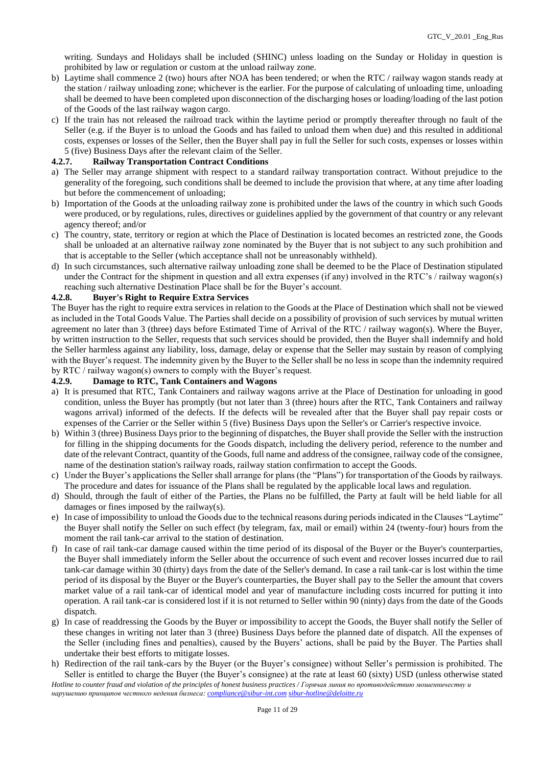writing. Sundays and Holidays shall be included (SHINC) unless loading on the Sunday or Holiday in question is prohibited by law or regulation or custom at the unload railway zone.

- b) Laytime shall commence 2 (two) hours after NOA has been tendered; or when the RTC / railway wagon stands ready at the station / railway unloading zone; whichever is the earlier. For the purpose of calculating of unloading time, unloading shall be deemed to have been completed upon disconnection of the discharging hoses or loading/loading of the last potion of the Goods of the last railway wagon cargo.
- c) If the train has not released the railroad track within the laytime period or promptly thereafter through no fault of the Seller (e.g. if the Buyer is to unload the Goods and has failed to unload them when due) and this resulted in additional costs, expenses or losses of the Seller, then the Buyer shall pay in full the Seller for such costs, expenses or losses within 5 (five) Business Days after the relevant claim of the Seller.

#### **4.2.7. Railway Transportation Contract Conditions**

- a) The Seller may arrange shipment with respect to a standard railway transportation contract. Without prejudice to the generality of the foregoing, such conditions shall be deemed to include the provision that where, at any time after loading but before the commencement of unloading;
- b) Importation of the Goods at the unloading railway zone is prohibited under the laws of the country in which such Goods were produced, or by regulations, rules, directives or guidelines applied by the government of that country or any relevant agency thereof; and/or
- c) The country, state, territory or region at which the Place of Destination is located becomes an restricted zone, the Goods shall be unloaded at an alternative railway zone nominated by the Buyer that is not subject to any such prohibition and that is acceptable to the Seller (which acceptance shall not be unreasonably withheld).
- d) In such circumstances, such alternative railway unloading zone shall be deemed to be the Place of Destination stipulated under the Contract for the shipment in question and all extra expenses (if any) involved in the RTC's / railway wagon(s) reaching such alternative Destination Place shall be for the Buyer's account.

### **4.2.8. Buyer's Right to Require Extra Services**

The Buyer has the right to require extra services in relation to the Goods at the Place of Destination which shall not be viewed as included in the Total Goods Value. The Parties shall decide on a possibility of provision of such services by mutual written agreement no later than 3 (three) days before Estimated Time of Arrival of the RTC / railway wagon(s). Where the Buyer, by written instruction to the Seller, requests that such services should be provided, then the Buyer shall indemnify and hold the Seller harmless against any liability, loss, damage, delay or expense that the Seller may sustain by reason of complying with the Buyer's request. The indemnity given by the Buyer to the Seller shall be no less in scope than the indemnity required by RTC / railway wagon(s) owners to comply with the Buyer's request.

# **4.2.9. Damage to RTC, Tank Containers and Wagons**

- a) It is presumed that RTC, Tank Containers and railway wagons arrive at the Place of Destination for unloading in good condition, unless the Buyer has promptly (but not later than 3 (three) hours after the RTC, Tank Containers and railway wagons arrival) informed of the defects. If the defects will be revealed after that the Buyer shall pay repair costs or expenses of the Carrier or the Seller within 5 (five) Business Days upon the Seller's or Carrier's respective invoice.
- b) Within 3 (three) Business Days prior to the beginning of dispatches, the Buyer shall provide the Seller with the instruction for filling in the shipping documents for the Goods dispatch, including the delivery period, reference to the number and date of the relevant Contract, quantity of the Goods, full name and address of the consignee, railway code of the consignee, name of the destination station's railway roads, railway station confirmation to accept the Goods.
- c) Under the Buyer's applications the Seller shall arrange for plans (the "Plans") for transportation of the Goods by railways. The procedure and dates for issuance of the Plans shall be regulated by the applicable local laws and regulation.
- d) Should, through the fault of either of the Parties, the Plans no be fulfilled, the Party at fault will be held liable for all damages or fines imposed by the railway(s).
- e) In case of impossibility to unload the Goods due to the technical reasons during periods indicated in the Clauses "Laytime" the Buyer shall notify the Seller on such effect (by telegram, fax, mail or email) within 24 (twenty-four) hours from the moment the rail tank-car arrival to the station of destination.
- f) In case of rail tank-car damage caused within the time period of its disposal of the Buyer or the Buyer's counterparties, the Buyer shall immediately inform the Seller about the occurrence of such event and recover losses incurred due to rail tank-car damage within 30 (thirty) days from the date of the Seller's demand. In case a rail tank-car is lost within the time period of its disposal by the Buyer or the Buyer's counterparties, the Buyer shall pay to the Seller the amount that covers market value of a rail tank-car of identical model and year of manufacture including costs incurred for putting it into operation. A rail tank-car is considered lost if it is not returned to Seller within 90 (ninty) days from the date of the Goods dispatch.
- g) In case of readdressing the Goods by the Buyer or impossibility to accept the Goods, the Buyer shall notify the Seller of these changes in writing not later than 3 (three) Business Days before the planned date of dispatch. All the expenses of the Seller (including fines and penalties), caused by the Buyers' actions, shall be paid by the Buyer. The Parties shall undertake their best efforts to mitigate losses.
- h) Redirection of the rail tank-cars by the Buyer (or the Buyer's consignee) without Seller's permission is prohibited. The Seller is entitled to charge the Buyer (the Buyer's consignee) at the rate at least 60 (sixty) USD (unless otherwise stated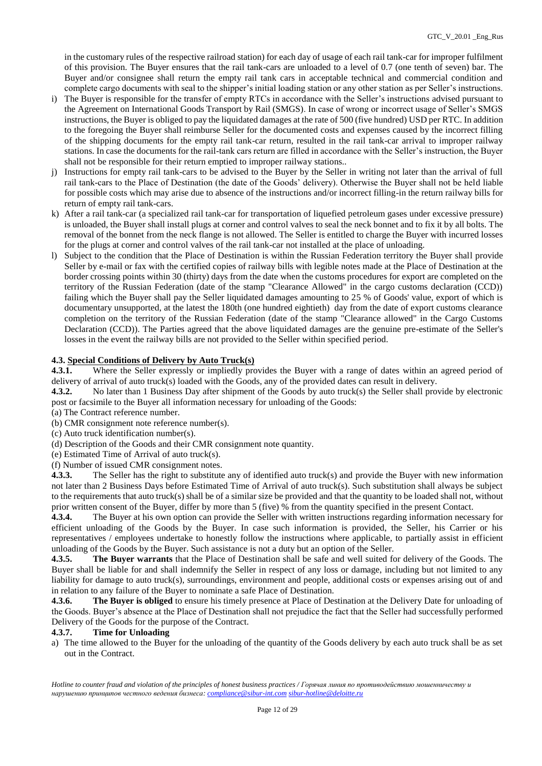in the customary rules of the respective railroad station) for each day of usage of each rail tank-car for improper fulfilment of this provision. The Buyer ensures that the rail tank-cars are unloaded to a level of 0.7 (one tenth of seven) bar. The Buyer and/or consignee shall return the empty rail tank cars in acceptable technical and commercial condition and complete cargo documents with seal to the shipper's initial loading station or any other station as per Seller's instructions.

- i) The Buyer is responsible for the transfer of empty RTCs in accordance with the Seller's instructions advised pursuant to the Agreement on International Goods Transport by Rail (SMGS). In case of wrong or incorrect usage of Seller's SMGS instructions, the Buyer is obliged to pay the liquidated damages at the rate of 500 (five hundred) USD per RTC. In addition to the foregoing the Buyer shall reimburse Seller for the documented costs and expenses caused by the incorrect filling of the shipping documents for the empty rail tank-car return, resulted in the rail tank-car arrival to improper railway stations. In case the documents for the rail-tank cars return are filled in accordance with the Seller's instruction, the Buyer shall not be responsible for their return emptied to improper railway stations..
- j) Instructions for empty rail tank-cars to be advised to the Buyer by the Seller in writing not later than the arrival of full rail tank-cars to the Place of Destination (the date of the Goods' delivery). Otherwise the Buyer shall not be held liable for possible costs which may arise due to absence of the instructions and/or incorrect filling-in the return railway bills for return of empty rail tank-cars.
- k) After a rail tank-car (a specialized rail tank-car for transportation of liquefied petroleum gases under excessive pressure) is unloaded, the Buyer shall install plugs at corner and control valves to seal the neck bonnet and to fix it by all bolts. The removal of the bonnet from the neck flange is not allowed. The Seller is entitled to charge the Buyer with incurred losses for the plugs at corner and control valves of the rail tank-car not installed at the place of unloading.
- l) Subject to the condition that the Place of Destination is within the Russian Federation territory the Buyer shall provide Seller by e-mail or fax with the certified copies of railway bills with legible notes made at the Place of Destination at the border crossing points within 30 (thirty) days from the date when the customs procedures for export are completed on the territory of the Russian Federation (date of the stamp "Clearance Allowed" in the cargo customs declaration (CCD)) failing which the Buyer shall pay the Seller liquidated damages amounting to 25 % of Goods' value, export of which is documentary unsupported, at the latest the 180th (one hundred eightieth) day from the date of export customs clearance completion on the territory of the Russian Federation (date of the stamp "Clearance allowed" in the Cargo Customs Declaration (CCD)). The Parties agreed that the above liquidated damages are the genuine pre-estimate of the Seller's losses in the event the railway bills are not provided to the Seller within specified period.

# **4.3. Special Conditions of Delivery by Auto Truck(s)**

**4.3.1.** Where the Seller expressly or impliedly provides the Buyer with a range of dates within an agreed period of delivery of arrival of auto truck(s) loaded with the Goods, any of the provided dates can result in delivery.

**4.3.2.** No later than 1 Business Day after shipment of the Goods by auto truck(s) the Seller shall provide by electronic post or facsimile to the Buyer all information necessary for unloading of the Goods:

(a) The Contract reference number.

(b) CMR consignment note reference number(s).

(c) Auto truck identification number(s).

(d) Description of the Goods and their CMR consignment note quantity.

(e) Estimated Time of Arrival of auto truck(s).

(f) Number of issued CMR consignment notes.

**4.3.3.** The Seller has the right to substitute any of identified auto truck(s) and provide the Buyer with new information not later than 2 Business Days before Estimated Time of Arrival of auto truck(s). Such substitution shall always be subject to the requirements that auto truck(s) shall be of a similar size be provided and that the quantity to be loaded shall not, without prior written consent of the Buyer, differ by more than 5 (five) % from the quantity specified in the present Contact.

**4.3.4.** The Buyer at his own option can provide the Seller with written instructions regarding information necessary for efficient unloading of the Goods by the Buyer. In case such information is provided, the Seller, his Carrier or his representatives / employees undertake to honestly follow the instructions where applicable, to partially assist in efficient unloading of the Goods by the Buyer. Such assistance is not a duty but an option of the Seller.

**4.3.5. The Buyer warrants** that the Place of Destination shall be safe and well suited for delivery of the Goods. The Buyer shall be liable for and shall indemnify the Seller in respect of any loss or damage, including but not limited to any liability for damage to auto truck(s), surroundings, environment and people, additional costs or expenses arising out of and in relation to any failure of the Buyer to nominate a safe Place of Destination.

**4.3.6. The Buyer is obliged** to ensure his timely presence at Place of Destination at the Delivery Date for unloading of the Goods. Buyer's absence at the Place of Destination shall not prejudice the fact that the Seller had successfully performed Delivery of the Goods for the purpose of the Contract.

#### **4.3.7. Time for Unloading**

a) The time allowed to the Buyer for the unloading of the quantity of the Goods delivery by each auto truck shall be as set out in the Contract.

*Hotline to counter fraud and violation of the principles of honest business practices / Горячая линия по противодействию мошенничеству и нарушению принципов честного ведения бизнеса: [compliance@sibur-int.com](mailto:compliance@sibur-int.com) [sibur-hotline@deloitte.ru](mailto:sibur-hotline@deloitte.ru)*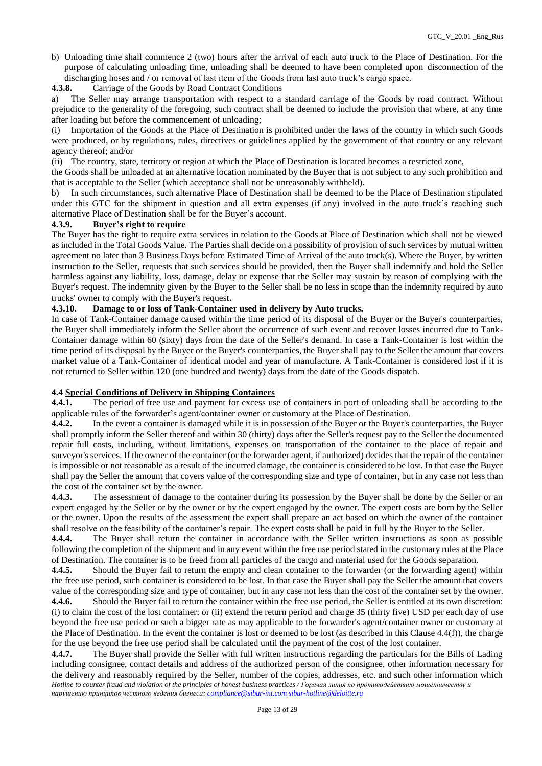b) Unloading time shall commence 2 (two) hours after the arrival of each auto truck to the Place of Destination. For the purpose of calculating unloading time, unloading shall be deemed to have been completed upon disconnection of the discharging hoses and / or removal of last item of the Goods from last auto truck's cargo space.

**4.3.8.** Carriage of the Goods by Road Contract Conditions

a) The Seller may arrange transportation with respect to a standard carriage of the Goods by road contract. Without prejudice to the generality of the foregoing, such contract shall be deemed to include the provision that where, at any time after loading but before the commencement of unloading;

(i) Importation of the Goods at the Place of Destination is prohibited under the laws of the country in which such Goods were produced, or by regulations, rules, directives or guidelines applied by the government of that country or any relevant agency thereof; and/or

(ii) The country, state, territory or region at which the Place of Destination is located becomes a restricted zone,

the Goods shall be unloaded at an alternative location nominated by the Buyer that is not subject to any such prohibition and that is acceptable to the Seller (which acceptance shall not be unreasonably withheld).

b) In such circumstances, such alternative Place of Destination shall be deemed to be the Place of Destination stipulated under this GTC for the shipment in question and all extra expenses (if any) involved in the auto truck's reaching such alternative Place of Destination shall be for the Buyer's account.

#### **4.3.9. Buyer's right to require**

The Buyer has the right to require extra services in relation to the Goods at Place of Destination which shall not be viewed as included in the Total Goods Value. The Parties shall decide on a possibility of provision of such services by mutual written agreement no later than 3 Business Days before Estimated Time of Arrival of the auto truck(s). Where the Buyer, by written instruction to the Seller, requests that such services should be provided, then the Buyer shall indemnify and hold the Seller harmless against any liability, loss, damage, delay or expense that the Seller may sustain by reason of complying with the Buyer's request. The indemnity given by the Buyer to the Seller shall be no less in scope than the indemnity required by auto trucks' owner to comply with the Buyer's request.

#### **4.3.10. Damage to or loss of Tank-Container used in delivery by Auto trucks.**

In case of Tank-Container damage caused within the time period of its disposal of the Buyer or the Buyer's counterparties, the Buyer shall immediately inform the Seller about the occurrence of such event and recover losses incurred due to Tank-Container damage within 60 (sixty) days from the date of the Seller's demand. In case a Tank-Container is lost within the time period of its disposal by the Buyer or the Buyer's counterparties, the Buyer shall pay to the Seller the amount that covers market value of a Tank-Container of identical model and year of manufacture. A Tank-Container is considered lost if it is not returned to Seller within 120 (one hundred and twenty) days from the date of the Goods dispatch.

### **4.4 Special Conditions of Delivery in Shipping Containers**

**4.4.1.** The period of free use and payment for excess use of containers in port of unloading shall be according to the applicable rules of the forwarder's agent/container owner or customary at the Place of Destination.

**4.4.2.** In the event a container is damaged while it is in possession of the Buyer or the Buyer's counterparties, the Buyer shall promptly inform the Seller thereof and within 30 (thirty) days after the Seller's request pay to the Seller the documented repair full costs, including, without limitations, expenses on transportation of the container to the place of repair and surveyor's services. If the owner of the container (or the forwarder agent, if authorized) decides that the repair of the container is impossible or not reasonable as a result of the incurred damage, the container is considered to be lost. In that case the Buyer shall pay the Seller the amount that covers value of the corresponding size and type of container, but in any case not less than the cost of the container set by the owner.

**4.4.3.** The assessment of damage to the container during its possession by the Buyer shall be done by the Seller or an expert engaged by the Seller or by the owner or by the expert engaged by the owner. The expert costs are born by the Seller or the owner. Upon the results of the assessment the expert shall prepare an act based on which the owner of the container shall resolve on the feasibility of the container's repair. The expert costs shall be paid in full by the Buyer to the Seller.

**4.4.4.** The Buyer shall return the container in accordance with the Seller written instructions as soon as possible following the completion of the shipment and in any event within the free use period stated in the customary rules at the Place of Destination. The container is to be freed from all particles of the cargo and material used for the Goods separation.

**4.4.5.** Should the Buyer fail to return the empty and clean container to the forwarder (or the forwarding agent) within the free use period, such container is considered to be lost. In that case the Buyer shall pay the Seller the amount that covers value of the corresponding size and type of container, but in any case not less than the cost of the container set by the owner.

**4.4.6.** Should the Buyer fail to return the container within the free use period, the Seller is entitled at its own discretion: (i) to claim the cost of the lost container; or (ii) extend the return period and charge 35 (thirty five) USD per each day of use beyond the free use period or such a bigger rate as may applicable to the forwarder's agent/container owner or customary at the Place of Destination. In the event the container is lost or deemed to be lost (as described in this Clause 4.4(f)), the charge for the use beyond the free use period shall be calculated until the payment of the cost of the lost container.

*Hotline to counter fraud and violation of the principles of honest business practices / Горячая линия по противодействию мошенничеству и нарушению принципов честного ведения бизнеса: [compliance@sibur-int.com](mailto:compliance@sibur-int.com) [sibur-hotline@deloitte.ru](mailto:sibur-hotline@deloitte.ru)* **4.4.7.** The Buyer shall provide the Seller with full written instructions regarding the particulars for the Bills of Lading including consignee, contact details and address of the authorized person of the consignee, other information necessary for the delivery and reasonably required by the Seller, number of the copies, addresses, etc. and such other information which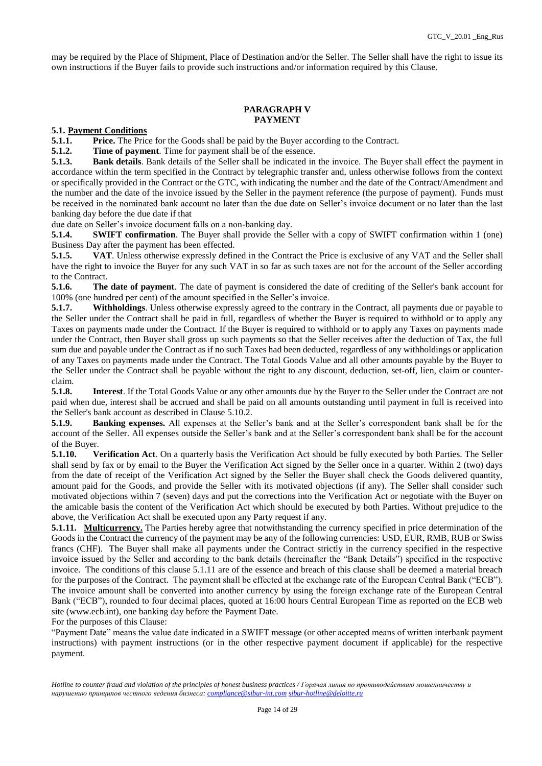may be required by the Place of Shipment, Place of Destination and/or the Seller. The Seller shall have the right to issue its own instructions if the Buyer fails to provide such instructions and/or information required by this Clause.

#### **PARAGRAPH V PAYMENT**

**5.1. Payment Conditions**

**5.1.1. Price.** The Price for the Goods shall be paid by the Buyer according to the Contract.

**5.1.2. Time of payment**. Time for payment shall be of the essence.

**5.1.3. Bank details**. Bank details of the Seller shall be indicated in the invoice. The Buyer shall effect the payment in accordance within the term specified in the Contract by telegraphic transfer and, unless otherwise follows from the context or specifically provided in the Contract or the GTC, with indicating the number and the date of the Contract/Amendment and the number and the date of the invoice issued by the Seller in the payment reference (the purpose of payment). Funds must be received in the nominated bank account no later than the due date on Seller's invoice document or no later than the last banking day before the due date if that

due date on Seller's invoice document falls on a non-banking day.

**5.1.4. SWIFT confirmation**. The Buyer shall provide the Seller with a copy of SWIFT confirmation within 1 (one) Business Day after the payment has been effected.

**5.1.5. VAT**. Unless otherwise expressly defined in the Contract the Price is exclusive of any VAT and the Seller shall have the right to invoice the Buyer for any such VAT in so far as such taxes are not for the account of the Seller according to the Contract.

**5.1.6. The date of payment**. The date of payment is considered the date of crediting of the Seller's bank account for 100% (one hundred per cent) of the amount specified in the Seller's invoice.

**5.1.7. Withholdings**. Unless otherwise expressly agreed to the contrary in the Contract, all payments due or payable to the Seller under the Contract shall be paid in full, regardless of whether the Buyer is required to withhold or to apply any Taxes on payments made under the Contract. If the Buyer is required to withhold or to apply any Taxes on payments made under the Contract, then Buyer shall gross up such payments so that the Seller receives after the deduction of Tax, the full sum due and payable under the Contract as if no such Taxes had been deducted, regardless of any withholdings or application of any Taxes on payments made under the Contract. The Total Goods Value and all other amounts payable by the Buyer to the Seller under the Contract shall be payable without the right to any discount, deduction, set-off, lien, claim or counterclaim.

**5.1.8. Interest**. If the Total Goods Value or any other amounts due by the Buyer to the Seller under the Contract are not paid when due, interest shall be accrued and shall be paid on all amounts outstanding until payment in full is received into the Seller's bank account as described in Clause 5.10.2.

**5.1.9. Banking expenses.** All expenses at the Seller's bank and at the Seller's correspondent bank shall be for the account of the Seller. All expenses outside the Seller's bank and at the Seller's correspondent bank shall be for the account of the Buyer.

**5.1.10. Verification Act**. On a quarterly basis the Verification Act should be fully executed by both Parties. The Seller shall send by fax or by email to the Buyer the Verification Act signed by the Seller once in a quarter. Within 2 (two) days from the date of receipt of the Verification Act signed by the Seller the Buyer shall check the Goods delivered quantity, amount paid for the Goods, and provide the Seller with its motivated objections (if any). The Seller shall consider such motivated objections within 7 (seven) days and put the corrections into the Verification Act or negotiate with the Buyer on the amicable basis the content of the Verification Act which should be executed by both Parties. Without prejudice to the above, the Verification Act shall be executed upon any Party request if any.

**5.1.11. Multicurrency**. The Parties hereby agree that notwithstanding the currency specified in price determination of the Goods in the Contract the currency of the payment may be any of the following currencies: USD, EUR, RMB, RUB or Swiss francs (CHF). The Buyer shall make all payments under the Contract strictly in the currency specified in the respective invoice issued by the Seller and according to the bank details (hereinafter the "Bank Details") specified in the respective invoice. The conditions of this clause 5.1.11 are of the essence and breach of this clause shall be deemed a material breach for the purposes of the Contract. The payment shall be effected at the exchange rate of the European Central Bank ("ECB"). The invoice amount shall be converted into another currency by using the foreign exchange rate of the European Central Bank ("ECB"), rounded to four decimal places, quoted at 16:00 hours Central European Time as reported on the ECB web site [\(www.ecb.int\)](https://urldefense.proofpoint.com/v2/url?u=http-3A__www.ecb.int&d=DwMGaQ&c=ptMoEJ5oTofwe4L9tBtGCQ&r=NKFf0xBnqjEI9x7Jy2O4LnREaIU2RCSKwLPa1twtm2k&m=nutHxWE4p16GbrnDEzTBAmAcABmevyKWvts0KDzcvg0&s=p_bgQn342ZRvhTogEJc9-lkNZ6vFQb8aUDkEkUx6vN4&e=), one banking day before the Payment Date.

For the purposes of this Clause:

"Payment Date" means the value date indicated in a SWIFT message (or other accepted means of written interbank payment instructions) with payment instructions (or in the other respective payment document if applicable) for the respective payment.

*Hotline to counter fraud and violation of the principles of honest business practices / Горячая линия по противодействию мошенничеству и нарушению принципов честного ведения бизнеса: [compliance@sibur-int.com](mailto:compliance@sibur-int.com) [sibur-hotline@deloitte.ru](mailto:sibur-hotline@deloitte.ru)*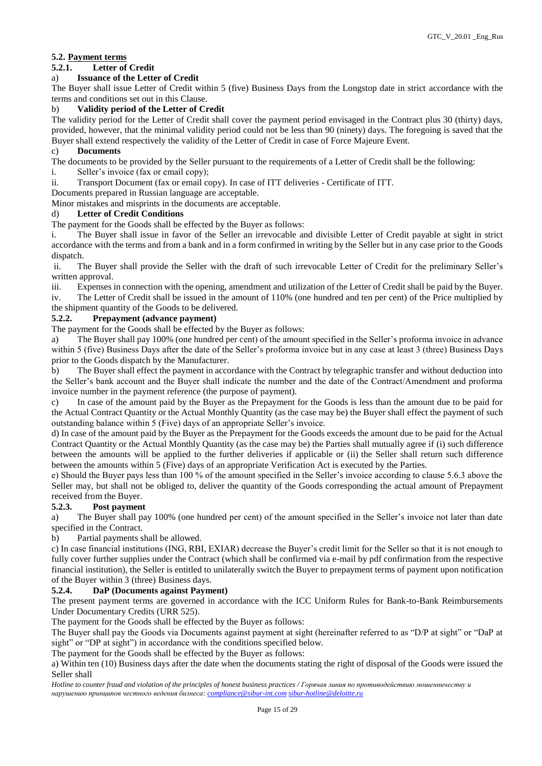# **5.2. Payment terms**

# **5.2.1. Letter of Credit**

# a) **Issuance of the Letter of Credit**

The Buyer shall issue Letter of Credit within 5 (five) Business Days from the Longstop date in strict accordance with the terms and conditions set out in this Clause.

# b) **Validity period of the Letter of Credit**

The validity period for the Letter of Credit shall cover the payment period envisaged in the Contract plus 30 (thirty) days, provided, however, that the minimal validity period could not be less than 90 (ninety) days. The foregoing is saved that the Buyer shall extend respectively the validity of the Letter of Credit in case of Force Majeure Event.

### c) **Documents**

The documents to be provided by the Seller pursuant to the requirements of a Letter of Credit shall be the following:

- i. Seller's invoice (fax or email copy);
- ii. Transport Document (fax or email copy). In case of ITT deliveries Certificate of ITT.

Documents prepared in Russian language are acceptable.

Minor mistakes and misprints in the documents are acceptable.

### d) **Letter of Credit Conditions**

The payment for the Goods shall be effected by the Buyer as follows:

i. The Buyer shall issue in favor of the Seller an irrevocable and divisible Letter of Credit payable at sight in strict accordance with the terms and from a bank and in a form confirmed in writing by the Seller but in any case prior to the Goods dispatch.

ii. The Buyer shall provide the Seller with the draft of such irrevocable Letter of Credit for the preliminary Seller's written approval.

iii. Expenses in connection with the opening, amendment and utilization of the Letter of Credit shall be paid by the Buyer.

iv. The Letter of Credit shall be issued in the amount of 110% (one hundred and ten per cent) of the Price multiplied by the shipment quantity of the Goods to be delivered.

# **5.2.2. Prepayment (advance payment)**

The payment for the Goods shall be effected by the Buyer as follows:

a) The Buyer shall pay 100% (one hundred per cent) of the amount specified in the Seller's proforma invoice in advance within 5 (five) Business Days after the date of the Seller's proforma invoice but in any case at least 3 (three) Business Days prior to the Goods dispatch by the Manufacturer.

b) The Buyer shall effect the payment in accordance with the Contract by telegraphic transfer and without deduction into the Seller's bank account and the Buyer shall indicate the number and the date of the Contract/Amendment and proforma invoice number in the payment reference (the purpose of payment).

c) In case of the amount paid by the Buyer as the Prepayment for the Goods is less than the amount due to be paid for the Actual Contract Quantity or the Actual Monthly Quantity (as the case may be) the Buyer shall effect the payment of such outstanding balance within 5 (Five) days of an appropriate Seller's invoice.

d) In case of the amount paid by the Buyer as the Prepayment for the Goods exceeds the amount due to be paid for the Actual Contract Quantity or the Actual Monthly Quantity (as the case may be) the Parties shall mutually agree if (i) such difference between the amounts will be applied to the further deliveries if applicable or (ii) the Seller shall return such difference between the amounts within 5 (Five) days of an appropriate Verification Act is executed by the Parties.

e) Should the Buyer pays less than 100 % of the amount specified in the Seller's invoice according to clause 5.6.3 above the Seller may, but shall not be obliged to, deliver the quantity of the Goods corresponding the actual amount of Prepayment received from the Buyer.

# **5.2.3. Post payment**

a) The Buyer shall pay 100% (one hundred per cent) of the amount specified in the Seller's invoice not later than date specified in the Contract.

b) Partial payments shall be allowed.

c) In case financial institutions (ING, RBI, EXIAR) decrease the Buyer's credit limit for the Seller so that it is not enough to fully cover further supplies under the Contract (which shall be confirmed via e-mail by pdf confirmation from the respective financial institution), the Seller is entitled to unilaterally switch the Buyer to prepayment terms of payment upon notification of the Buyer within 3 (three) Business days.

# **5.2.4. DaP (Documents against Payment)**

The present payment terms are governed in accordance with the ICC Uniform Rules for Bank-to-Bank Reimbursements Under Documentary Credits (URR 525).

The payment for the Goods shall be effected by the Buyer as follows:

The Buyer shall pay the Goods via Documents against payment at sight (hereinafter referred to as "D/P at sight" or "DaP at sight" or "DP at sight") in accordance with the conditions specified below.

The payment for the Goods shall be effected by the Buyer as follows:

a) Within ten (10) Business days after the date when the documents stating the right of disposal of the Goods were issued the Seller shall

*Hotline to counter fraud and violation of the principles of honest business practices / Горячая линия по противодействию мошенничеству и нарушению принципов честного ведения бизнеса: [compliance@sibur-int.com](mailto:compliance@sibur-int.com) [sibur-hotline@deloitte.ru](mailto:sibur-hotline@deloitte.ru)*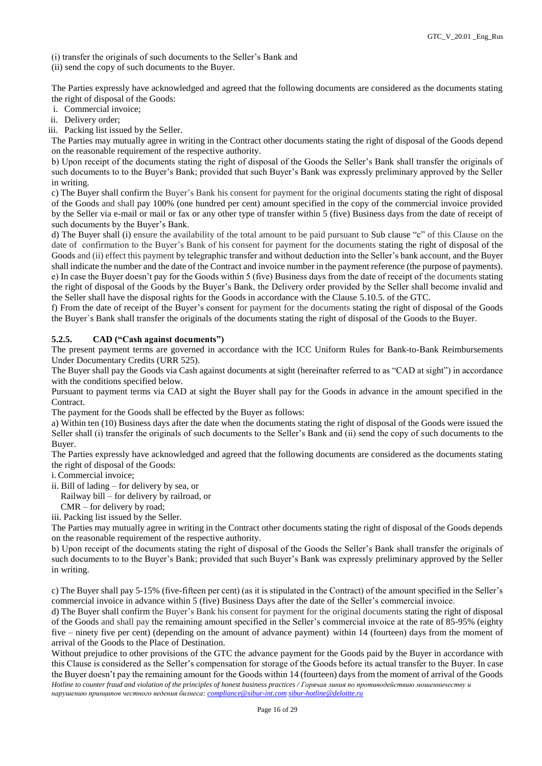(i) transfer the originals of such documents to the Seller's Bank and

(ii) send the copy of such documents to the Buyer.

The Parties expressly have acknowledged and agreed that the following documents are considered as the documents stating the right of disposal of the Goods:

i. Commercial invoice;

ii. Delivery order;

iii. Packing list issued by the Seller.

The Parties may mutually agree in writing in the Contract other documents stating the right of disposal of the Goods depend on the reasonable requirement of the respective authority.

b) Upon receipt of the documents stating the right of disposal of the Goods the Seller's Bank shall transfer the originals of such documents to to the Buyer's Bank; provided that such Buyer's Bank was expressly preliminary approved by the Seller in writing.

c) The Buyer shall confirm the Buyer's Bank his consent for payment for the original documents stating the right of disposal of the Goods and shall pay 100% (one hundred per cent) amount specified in the copy of the commercial invoice provided by the Seller via e-mail or mail or fax or any other type of transfer within 5 (five) Business days from the date of receipt of such documents by the Buyer's Bank.

d) The Buyer shall (i) ensure the availability of the total amount to be paid pursuant to Sub clause "c" of this Clause on the date of confirmation to the Buyer's Bank of his consent for payment for the documents stating the right of disposal of the Goods and (ii) effect this payment by telegraphic transfer and without deduction into the Seller's bank account, and the Buyer shall indicate the number and the date of the Contract and invoice number in the payment reference (the purpose of payments). e) In case the Buyer doesn't pay for the Goods within 5 (five) Business days from the date of receipt of the documents stating the right of disposal of the Goods by the Buyer's Bank, the Delivery order provided by the Seller shall become invalid and the Seller shall have the disposal rights for the Goods in accordance with the Clause 5.10.5. of the GTC.

f) From the date of receipt of the Buyer's consent for payment for the documents stating the right of disposal of the Goods the Buyer`s Bank shall transfer the originals of the documents stating the right of disposal of the Goods to the Buyer.

### **5.2.5. CAD ("Cash against documents")**

The present payment terms are governed in accordance with the ICC Uniform Rules for Bank-to-Bank Reimbursements Under Documentary Credits (URR 525).

The Buyer shall pay the Goods via Cash against documents at sight (hereinafter referred to as "CAD at sight") in accordance with the conditions specified below.

Pursuant to payment terms via CAD at sight the Buyer shall pay for the Goods in advance in the amount specified in the Contract.

The payment for the Goods shall be effected by the Buyer as follows:

a) Within ten (10) Business days after the date when the documents stating the right of disposal of the Goods were issued the Seller shall (i) transfer the originals of such documents to the Seller's Bank and (ii) send the copy of such documents to the Buyer.

The Parties expressly have acknowledged and agreed that the following documents are considered as the documents stating the right of disposal of the Goods:

i. Commercial invoice;

ii. Bill of lading – for delivery by sea, or

Railway bill – for delivery by railroad, or

CMR – for delivery by road;

iii. Packing list issued by the Seller.

The Parties may mutually agree in writing in the Contract other documents stating the right of disposal of the Goods depends on the reasonable requirement of the respective authority.

b) Upon receipt of the documents stating the right of disposal of the Goods the Seller's Bank shall transfer the originals of such documents to to the Buyer's Bank; provided that such Buyer's Bank was expressly preliminary approved by the Seller in writing.

c) The Buyer shall pay 5-15% (five-fifteen per cent) (as it is stipulated in the Contract) of the amount specified in the Seller's commercial invoice in advance within 5 (five) Business Days after the date of the Seller's commercial invoice.

d) The Buyer shall confirm the Buyer's Bank his consent for payment for the original documents stating the right of disposal of the Goods and shall pay the remaining amount specified in the Seller's commercial invoice at the rate of 85-95% (eighty five – ninety five per cent) (depending on the amount of advance payment) within 14 (fourteen) days from the moment of arrival of the Goods to the Place of Destination.

*Hotline to counter fraud and violation of the principles of honest business practices / Горячая линия по противодействию мошенничеству и* Without prejudice to other provisions of the GTC the advance payment for the Goods paid by the Buyer in accordance with this Clause is considered as the Seller's compensation for storage of the Goods before its actual transfer to the Buyer. In case the Buyer doesn't pay the remaining amount for the Goods within 14 (fourteen) days from the moment of arrival of the Goods

Page 16 of 29

*нарушению принципов честного ведения бизнеса: [compliance@sibur-int.com](mailto:compliance@sibur-int.com) [sibur-hotline@deloitte.ru](mailto:sibur-hotline@deloitte.ru)*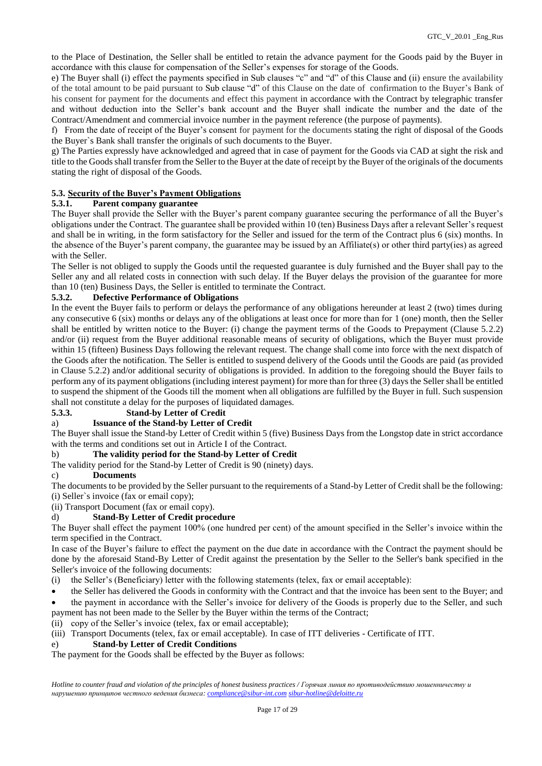to the Place of Destination, the Seller shall be entitled to retain the advance payment for the Goods paid by the Buyer in accordance with this clause for compensation of the Seller's expenses for storage of the Goods.

e) The Buyer shall (i) effect the payments specified in Sub clauses "c" and "d" of this Clause and (ii) ensure the availability of the total amount to be paid pursuant to Sub clause "d" of this Clause on the date of confirmation to the Buyer's Bank of his consent for payment for the documents and effect this payment in accordance with the Contract by telegraphic transfer and without deduction into the Seller's bank account and the Buyer shall indicate the number and the date of the Contract/Amendment and commercial invoice number in the payment reference (the purpose of payments).

f) From the date of receipt of the Buyer's consent for payment for the documents stating the right of disposal of the Goods the Buyer`s Bank shall transfer the originals of such documents to the Buyer.

g) The Parties expressly have acknowledged and agreed that in case of payment for the Goods via CAD at sight the risk and title to the Goods shall transfer from the Seller to the Buyer at the date of receipt by the Buyer of the originals of the documents stating the right of disposal of the Goods.

# **5.3. Security of the Buyer's Payment Obligations**

# **5.3.1. Parent company guarantee**

The Buyer shall provide the Seller with the Buyer's parent company guarantee securing the performance of all the Buyer's obligations under the Contract. The guarantee shall be provided within 10 (ten) Business Days after a relevant Seller's request and shall be in writing, in the form satisfactory for the Seller and issued for the term of the Contract plus 6 (six) months. In the absence of the Buyer's parent company, the guarantee may be issued by an Affiliate(s) or other third party(ies) as agreed with the Seller.

The Seller is not obliged to supply the Goods until the requested guarantee is duly furnished and the Buyer shall pay to the Seller any and all related costs in connection with such delay. If the Buyer delays the provision of the guarantee for more than 10 (ten) Business Days, the Seller is entitled to terminate the Contract.

# **5.3.2. Defective Performance of Obligations**

In the event the Buyer fails to perform or delays the performance of any obligations hereunder at least 2 (two) times during any consecutive 6 (six) months or delays any of the obligations at least once for more than for 1 (one) month, then the Seller shall be entitled by written notice to the Buyer: (i) change the payment terms of the Goods to Prepayment (Clause 5.2.2) and/or (ii) request from the Buyer additional reasonable means of security of obligations, which the Buyer must provide within 15 (fifteen) Business Days following the relevant request. The change shall come into force with the next dispatch of the Goods after the notification. The Seller is entitled to suspend delivery of the Goods until the Goods are paid (as provided in Clause 5.2.2) and/or additional security of obligations is provided. In addition to the foregoing should the Buyer fails to perform any of its payment obligations (including interest payment) for more than for three (3) days the Seller shall be entitled to suspend the shipment of the Goods till the moment when all obligations are fulfilled by the Buyer in full. Such suspension shall not constitute a delay for the purposes of liquidated damages.

# **5.3.3. Stand-by Letter of Credit**

# a) **Issuance of the Stand-by Letter of Credit**

The Buyer shall issue the Stand-by Letter of Credit within 5 (five) Business Days from the Longstop date in strict accordance with the terms and conditions set out in Article I of the Contract.

# b) **The validity period for the Stand-by Letter of Credit**

The validity period for the Stand-by Letter of Credit is 90 (ninety) days.

# c) **Documents**

The documents to be provided by the Seller pursuant to the requirements of a Stand-by Letter of Credit shall be the following: (i) Seller`s invoice (fax or email copy);

(ii) Transport Document (fax or email copy).

# d) **Stand-By Letter of Credit procedure**

The Buyer shall effect the payment 100% (one hundred per cent) of the amount specified in the Seller's invoice within the term specified in the Contract.

In case of the Buyer's failure to effect the payment on the due date in accordance with the Contract the payment should be done by the aforesaid Stand-By Letter of Credit against the presentation by the Seller to the Seller's bank specified in the Seller's invoice of the following documents:

- (i) the Seller's (Beneficiary) letter with the following statements (telex, fax or email acceptable):
- the Seller has delivered the Goods in conformity with the Contract and that the invoice has been sent to the Buyer; and

 the payment in accordance with the Seller's invoice for delivery of the Goods is properly due to the Seller, and such payment has not been made to the Seller by the Buyer within the terms of the Contract;

(ii) copy of the Seller's invoice (telex, fax or email acceptable);

(iii) Transport Documents (telex, fax or email acceptable). In case of ITT deliveries - Certificate of ITT.

#### e) **Stand-by Letter of Credit Conditions**

The payment for the Goods shall be effected by the Buyer as follows: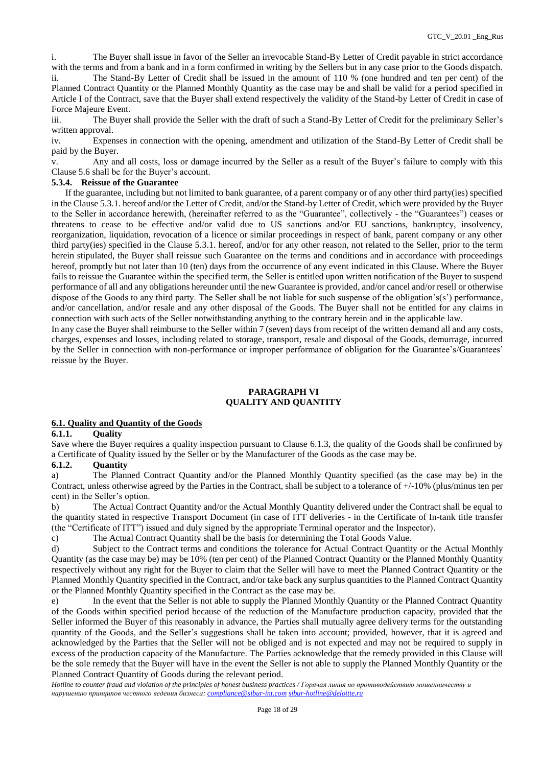i. The Buyer shall issue in favor of the Seller an irrevocable Stand-By Letter of Credit payable in strict accordance with the terms and from a bank and in a form confirmed in writing by the Sellers but in any case prior to the Goods dispatch.

ii. The Stand-By Letter of Credit shall be issued in the amount of 110 % (one hundred and ten per cent) of the Planned Contract Quantity or the Planned Monthly Quantity as the case may be and shall be valid for a period specified in Article I of the Contract, save that the Buyer shall extend respectively the validity of the Stand-by Letter of Credit in case of Force Majeure Event.

iii. The Buyer shall provide the Seller with the draft of such a Stand-By Letter of Credit for the preliminary Seller's written approval.

iv. Expenses in connection with the opening, amendment and utilization of the Stand-By Letter of Credit shall be paid by the Buyer.

v. Any and all costs, loss or damage incurred by the Seller as a result of the Buyer's failure to comply with this Clause 5.6 shall be for the Buyer's account.

### **5.3.4. Reissue of the Guarantee**

 If the guarantee, including but not limited to bank guarantee, of a parent company or of any other third party(ies) specified in the Clause 5.3.1. hereof and/or the Letter of Credit, and/or the Stand-by Letter of Credit, which were provided by the Buyer to the Seller in accordance herewith, (hereinafter referred to as the "Guarantee", collectively - the "Guarantees") ceases or threatens to cease to be effective and/or valid due to US sanctions and/or EU sanctions, bankruptcy, insolvency, reorganization, liquidation, revocation of a licence or similar proceedings in respect of bank, parent company or any other third party(ies) specified in the Clause 5.3.1. hereof, and/or for any other reason, not related to the Seller, prior to the term herein stipulated, the Buyer shall reissue such Guarantee on the terms and conditions and in accordance with proceedings hereof, promptly but not later than 10 (ten) days from the occurrence of any event indicated in this Clause. Where the Buyer fails to reissue the Guarantee within the specified term, the Seller is entitled upon written notification of the Buyer to suspend performance of all and any obligations hereunder until the new Guarantee is provided, and/or cancel and/or resell or otherwise dispose of the Goods to any third party. The Seller shall be not liable for such suspense of the obligation's(s') performance, and/or cancellation, and/or resale and any other disposal of the Goods. The Buyer shall not be entitled for any claims in connection with such acts of the Seller notwithstanding anything to the contrary herein and in the applicable law.

In any case the Buyer shall reimburse to the Seller within 7 (seven) days from receipt of the written demand all and any costs, charges, expenses and losses, including related to storage, transport, resale and disposal of the Goods, demurrage, incurred by the Seller in connection with non-performance or improper performance of obligation for the Guarantee's/Guarantees' reissue by the Buyer.

#### **PARAGRAPH VI QUALITY AND QUANTITY**

### **6.1. Quality and Quantity of the Goods**

### **6.1.1. Quality**

Save where the Buyer requires a quality inspection pursuant to Clause 6.1.3, the quality of the Goods shall be confirmed by a Certificate of Quality issued by the Seller or by the Manufacturer of the Goods as the case may be.

#### **6.1.2. Quantity**

a) The Planned Contract Quantity and/or the Planned Monthly Quantity specified (as the case may be) in the Contract, unless otherwise agreed by the Parties in the Contract, shall be subject to a tolerance of +/-10% (plus/minus ten per cent) in the Seller's option.

b) The Actual Contract Quantity and/or the Actual Monthly Quantity delivered under the Contract shall be equal to the quantity stated in respective Transport Document (in case of ITT deliveries - in the Certificate of In-tank title transfer (the "Certificate of ITT") issued and duly signed by the appropriate Terminal operator and the Inspector).

c) The Actual Contract Quantity shall be the basis for determining the Total Goods Value.

d) Subject to the Contract terms and conditions the tolerance for Actual Contract Quantity or the Actual Monthly Quantity (as the case may be) may be 10% (ten per cent) of the Planned Contract Quantity or the Planned Monthly Quantity respectively without any right for the Buyer to claim that the Seller will have to meet the Planned Contract Quantity or the Planned Monthly Quantity specified in the Contract, and/or take back any surplus quantities to the Planned Contract Quantity or the Planned Monthly Quantity specified in the Contract as the case may be.

e) In the event that the Seller is not able to supply the Planned Monthly Quantity or the Planned Contract Quantity of the Goods within specified period because of the reduction of the Manufacture production capacity, provided that the Seller informed the Buyer of this reasonably in advance, the Parties shall mutually agree delivery terms for the outstanding quantity of the Goods, and the Seller's suggestions shall be taken into account; provided, however, that it is agreed and acknowledged by the Parties that the Seller will not be obliged and is not expected and may not be required to supply in excess of the production capacity of the Manufacture. The Parties acknowledge that the remedy provided in this Clause will be the sole remedy that the Buyer will have in the event the Seller is not able to supply the Planned Monthly Quantity or the Planned Contract Quantity of Goods during the relevant period.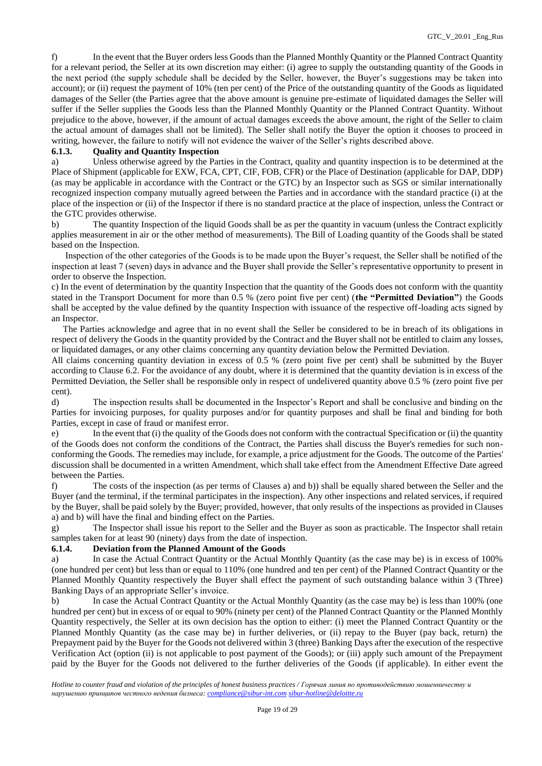f) In the event that the Buyer orders less Goods than the Planned Monthly Quantity or the Planned Contract Quantity for a relevant period, the Seller at its own discretion may either: (i) agree to supply the outstanding quantity of the Goods in the next period (the supply schedule shall be decided by the Seller, however, the Buyer's suggestions may be taken into account); or (ii) request the payment of 10% (ten per cent) of the Price of the outstanding quantity of the Goods as liquidated damages of the Seller (the Parties agree that the above amount is genuine pre-estimate of liquidated damages the Seller will suffer if the Seller supplies the Goods less than the Planned Monthly Quantity or the Planned Contract Quantity. Without prejudice to the above, however, if the amount of actual damages exceeds the above amount, the right of the Seller to claim the actual amount of damages shall not be limited). The Seller shall notify the Buyer the option it chooses to proceed in writing, however, the failure to notify will not evidence the waiver of the Seller's rights described above.

#### **6.1.3. Quality and Quantity Inspection**

a) Unless otherwise agreed by the Parties in the Contract, quality and quantity inspection is to be determined at the Place of Shipment (applicable for EXW, FCA, CPT, CIF, FOB, CFR) or the Place of Destination (applicable for DAP, DDP) (as may be applicable in accordance with the Contract or the GTC) by an Inspector such as SGS or similar internationally recognized inspection company mutually agreed between the Parties and in accordance with the standard practice (i) at the place of the inspection or (ii) of the Inspector if there is no standard practice at the place of inspection, unless the Contract or the GTC provides otherwise.

b) The quantity Inspection of the liquid Goods shall be as per the quantity in vacuum (unless the Contract explicitly applies measurement in air or the other method of measurements). The Bill of Loading quantity of the Goods shall be stated based on the Inspection.

 Inspection of the other categories of the Goods is to be made upon the Buyer's request, the Seller shall be notified of the inspection at least 7 (seven) days in advance and the Buyer shall provide the Seller's representative opportunity to present in order to observe the Inspection.

c) In the event of determination by the quantity Inspection that the quantity of the Goods does not conform with the quantity stated in the Transport Document for more than 0.5 % (zero point five per cent) (**the "Permitted Deviation"**) the Goods shall be accepted by the value defined by the quantity Inspection with issuance of the respective off-loading acts signed by an Inspector.

 The Parties acknowledge and agree that in no event shall the Seller be considered to be in breach of its obligations in respect of delivery the Goods in the quantity provided by the Contract and the Buyer shall not be entitled to claim any losses, or liquidated damages, or any other claims concerning any quantity deviation below the Permitted Deviation.

All claims concerning quantity deviation in excess of 0.5 % (zero point five per cent) shall be submitted by the Buyer according to Clause 6.2. For the avoidance of any doubt, where it is determined that the quantity deviation is in excess of the Permitted Deviation, the Seller shall be responsible only in respect of undelivered quantity above 0.5 % (zero point five per cent).

d) The inspection results shall be documented in the Inspector's Report and shall be conclusive and binding on the Parties for invoicing purposes, for quality purposes and/or for quantity purposes and shall be final and binding for both Parties, except in case of fraud or manifest error.

e) In the event that (i) the quality of the Goods does not conform with the contractual Specification or (ii) the quantity of the Goods does not conform the conditions of the Contract, the Parties shall discuss the Buyer's remedies for such nonconforming the Goods. The remedies may include, for example, a price adjustment for the Goods. The outcome of the Parties' discussion shall be documented in a written Amendment, which shall take effect from the Amendment Effective Date agreed between the Parties.

f) The costs of the inspection (as per terms of Clauses a) and b)) shall be equally shared between the Seller and the Buyer (and the terminal, if the terminal participates in the inspection). Any other inspections and related services, if required by the Buyer, shall be paid solely by the Buyer; provided, however, that only results of the inspections as provided in Clauses a) and b) will have the final and binding effect on the Parties.

g) The Inspector shall issue his report to the Seller and the Buyer as soon as practicable. The Inspector shall retain samples taken for at least 90 (ninety) days from the date of inspection.

#### **6.1.4. Deviation from the Planned Amount of the Goods**

a) In case the Actual Contract Quantity or the Actual Monthly Quantity (as the case may be) is in excess of 100% (one hundred per cent) but less than or equal to 110% (one hundred and ten per cent) of the Planned Contract Quantity or the Planned Monthly Quantity respectively the Buyer shall effect the payment of such outstanding balance within 3 (Three) Banking Days of an appropriate Seller's invoice.

b) In case the Actual Contract Quantity or the Actual Monthly Quantity (as the case may be) is less than 100% (one hundred per cent) but in excess of or equal to 90% (ninety per cent) of the Planned Contract Quantity or the Planned Monthly Quantity respectively, the Seller at its own decision has the option to either: (i) meet the Planned Contract Quantity or the Planned Monthly Quantity (as the case may be) in further deliveries, or (ii) repay to the Buyer (pay back, return) the Prepayment paid by the Buyer for the Goods not delivered within 3 (three) Banking Days after the execution of the respective Verification Act (option (ii) is not applicable to post payment of the Goods); or (iii) apply such amount of the Prepayment paid by the Buyer for the Goods not delivered to the further deliveries of the Goods (if applicable). In either event the

*Hotline to counter fraud and violation of the principles of honest business practices / Горячая линия по противодействию мошенничеству и нарушению принципов честного ведения бизнеса: [compliance@sibur-int.com](mailto:compliance@sibur-int.com) [sibur-hotline@deloitte.ru](mailto:sibur-hotline@deloitte.ru)*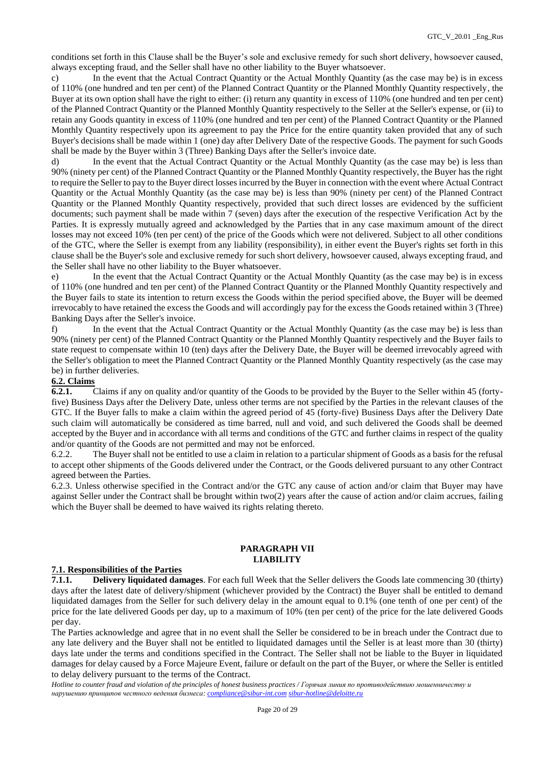conditions set forth in this Сlause shall be the Buyer's sole and exclusive remedy for such short delivery, howsoever caused, always excepting fraud, and the Seller shall have no other liability to the Buyer whatsoever.

c) In the event that the Actual Contract Quantity or the Actual Monthly Quantity (as the case may be) is in excess of 110% (one hundred and ten per cent) of the Planned Contract Quantity or the Planned Monthly Quantity respectively, the Buyer at its own option shall have the right to either: (i) return any quantity in excess of 110% (one hundred and ten per cent) of the Planned Contract Quantity or the Planned Monthly Quantity respectively to the Seller at the Seller's expense, or (ii) to retain any Goods quantity in excess of 110% (one hundred and ten per cent) of the Planned Contract Quantity or the Planned Monthly Quantity respectively upon its agreement to pay the Price for the entire quantity taken provided that any of such Buyer's decisions shall be made within 1 (one) day after Delivery Date of the respective Goods. The payment for such Goods shall be made by the Buyer within 3 (Three) Banking Days after the Seller's invoice date.

d) In the event that the Actual Contract Quantity or the Actual Monthly Quantity (as the case may be) is less than 90% (ninety per cent) of the Planned Contract Quantity or the Planned Monthly Quantity respectively, the Buyer has the right to require the Seller to pay to the Buyer direct losses incurred by the Buyer in connection with the event where Actual Contract Quantity or the Actual Monthly Quantity (as the case may be) is less than 90% (ninety per cent) of the Planned Contract Quantity or the Planned Monthly Quantity respectively, provided that such direct losses are evidenced by the sufficient documents; such payment shall be made within 7 (seven) days after the execution of the respective Verification Act by the Parties. It is expressly mutually agreed and acknowledged by the Parties that in any case maximum amount of the direct losses may not exceed 10% (ten per cent) of the price of the Goods which were not delivered. Subject to all other conditions of the GTC, where the Seller is exempt from any liability (responsibility), in either event the Buyer's rights set forth in this clause shall be the Buyer's sole and exclusive remedy for such short delivery, howsoever caused, always excepting fraud, and the Seller shall have no other liability to the Buyer whatsoever.

e) In the event that the Actual Contract Quantity or the Actual Monthly Quantity (as the case may be) is in excess of 110% (one hundred and ten per cent) of the Planned Contract Quantity or the Planned Monthly Quantity respectively and the Buyer fails to state its intention to return excess the Goods within the period specified above, the Buyer will be deemed irrevocably to have retained the excess the Goods and will accordingly pay for the excess the Goods retained within 3 (Three) Banking Days after the Seller's invoice.

f) In the event that the Actual Contract Quantity or the Actual Monthly Quantity (as the case may be) is less than 90% (ninety per cent) of the Planned Contract Quantity or the Planned Monthly Quantity respectively and the Buyer fails to state request to compensate within 10 (ten) days after the Delivery Date, the Buyer will be deemed irrevocably agreed with the Seller's obligation to meet the Planned Contract Quantity or the Planned Monthly Quantity respectively (as the case may be) in further deliveries.

### **6.2. Claims**

**6.2.1.** Claims if any on quality and/or quantity of the Goods to be provided by the Buyer to the Seller within 45 (fortyfive) Business Days after the Delivery Date, unless other terms are not specified by the Parties in the relevant clauses of the GTC. If the Buyer falls to make a claim within the agreed period of 45 (forty-five) Business Days after the Delivery Date such claim will automatically be considered as time barred, null and void, and such delivered the Goods shall be deemed accepted by the Buyer and in accordance with all terms and conditions of the GTC and further claims in respect of the quality and/or quantity of the Goods are not permitted and may not be enforced.

6.2.2. The Buyer shall not be entitled to use a claim in relation to a particular shipment of Goods as a basis for the refusal to accept other shipments of the Goods delivered under the Contract, or the Goods delivered pursuant to any other Contract agreed between the Parties.

6.2.3. Unless otherwise specified in the Contract and/or the GTC any cause of action and/or claim that Buyer may have against Seller under the Contract shall be brought within two(2) years after the cause of action and/or claim accrues, failing which the Buyer shall be deemed to have waived its rights relating thereto.

#### **PARAGRAPH VII LIABILITY**

#### **7.1. Responsibilities of the Parties**

**7.1.1. Delivery liquidated damages**. For each full Week that the Seller delivers the Goods late commencing 30 (thirty) days after the latest date of delivery/shipment (whichever provided by the Contract) the Buyer shall be entitled to demand liquidated damages from the Seller for such delivery delay in the amount equal to 0.1% (one tenth of one per cent) of the price for the late delivered Goods per day, up to a maximum of 10% (ten per cent) of the price for the late delivered Goods per day.

The Parties acknowledge and agree that in no event shall the Seller be considered to be in breach under the Contract due to any late delivery and the Buyer shall not be entitled to liquidated damages until the Seller is at least more than 30 (thirty) days late under the terms and conditions specified in the Contract. The Seller shall not be liable to the Buyer in liquidated damages for delay caused by a Force Majeure Event, failure or default on the part of the Buyer, or where the Seller is entitled to delay delivery pursuant to the terms of the Contract.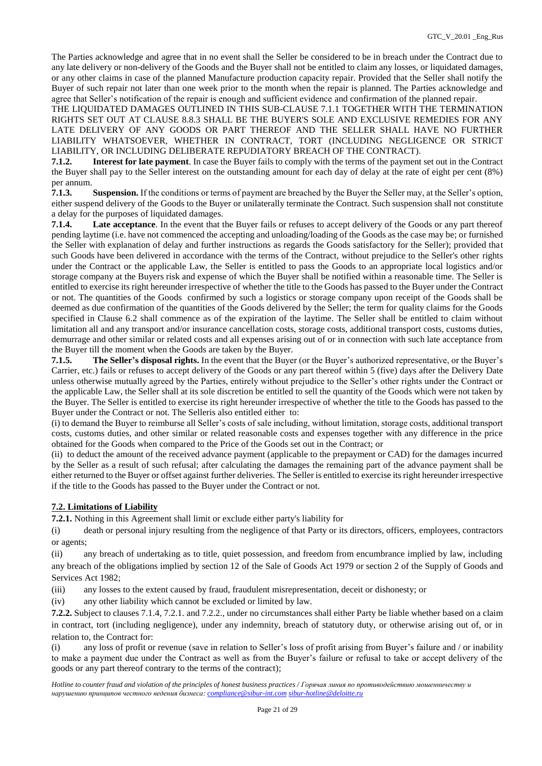The Parties acknowledge and agree that in no event shall the Seller be considered to be in breach under the Contract due to any late delivery or non-delivery of the Goods and the Buyer shall not be entitled to claim any losses, or liquidated damages, or any other claims in case of the planned Manufacture production capacity repair. Provided that the Seller shall notify the Buyer of such repair not later than one week prior to the month when the repair is planned. The Parties acknowledge and agree that Seller's notification of the repair is enough and sufficient evidence and confirmation of the planned repair.

THE LIQUIDATED DAMAGES OUTLINED IN THIS SUB-CLAUSE 7.1.1 TOGETHER WITH THE TERMINATION RIGHTS SET OUT AT CLAUSE 8.8.3 SHALL BE THE BUYER'S SOLE AND EXCLUSIVE REMEDIES FOR ANY LATE DELIVERY OF ANY GOODS OR PART THEREOF AND THE SELLER SHALL HAVE NO FURTHER LIABILITY WHATSOEVER, WHETHER IN CONTRACT, TORT (INCLUDING NEGLIGENCE OR STRICT LIABILITY, OR INCLUDING DELIBERATE REPUDIATORY BREACH OF THE CONTRACT).

**7.1.2. Interest for late payment**. In case the Buyer fails to comply with the terms of the payment set out in the Contract the Buyer shall pay to the Seller interest on the outstanding amount for each day of delay at the rate of eight per cent (8%) per annum.

**7.1.3. Suspension.** If the conditions or terms of payment are breached by the Buyer the Seller may, at the Seller's option, either suspend delivery of the Goods to the Buyer or unilaterally terminate the Contract. Such suspension shall not constitute a delay for the purposes of liquidated damages.

**7.1.4. Late acceptance**. In the event that the Buyer fails or refuses to accept delivery of the Goods or any part thereof pending laytime (i.e. have not commenced the accepting and unloading/loading of the Goods as the case may be; or furnished the Seller with explanation of delay and further instructions as regards the Goods satisfactory for the Seller); provided that such Goods have been delivered in accordance with the terms of the Contract, without prejudice to the Seller's other rights under the Contract or the applicable Law, the Seller is entitled to pass the Goods to an appropriate local logistics and/or storage company at the Buyers risk and expense of which the Buyer shall be notified within a reasonable time. The Seller is entitled to exercise its right hereunder irrespective of whether the title to the Goods has passed to the Buyer under the Contract or not. The quantities of the Goods confirmed by such a logistics or storage company upon receipt of the Goods shall be deemed as due confirmation of the quantities of the Goods delivered by the Seller; the term for quality claims for the Goods specified in Clause 6.2 shall commence as of the expiration of the laytime. The Seller shall be entitled to claim without limitation all and any transport and/or insurance cancellation costs, storage costs, additional transport costs, customs duties, demurrage and other similar or related costs and all expenses arising out of or in connection with such late acceptance from the Buyer till the moment when the Goods are taken by the Buyer.

**7.1.5. The Seller's disposal rights.** In the event that the Buyer (or the Buyer's authorized representative, or the Buyer's Carrier, etc.) fails or refuses to accept delivery of the Goods or any part thereof within 5 (five) days after the Delivery Date unless otherwise mutually agreed by the Parties, entirely without prejudice to the Seller's other rights under the Contract or the applicable Law, the Seller shall at its sole discretion be entitled to sell the quantity of the Goods which were not taken by the Buyer. The Seller is entitled to exercise its right hereunder irrespective of whether the title to the Goods has passed to the Buyer under the Contract or not. The Selleris also entitled either to:

(i) to demand the Buyer to reimburse all Seller's costs of sale including, without limitation, storage costs, additional transport costs, customs duties, and other similar or related reasonable costs and expenses together with any difference in the price obtained for the Goods when compared to the Price of the Goods set out in the Contract; or

(ii) to deduct the amount of the received advance payment (applicable to the prepayment or CAD) for the damages incurred by the Seller as a result of such refusal; after calculating the damages the remaining part of the advance payment shall be either returned to the Buyer or offset against further deliveries. The Seller is entitled to exercise its right hereunder irrespective if the title to the Goods has passed to the Buyer under the Contract or not.

# **7.2. Limitations of Liability**

**7.2.1.** Nothing in this Agreement shall limit or exclude either party's liability for

(i) death or personal injury resulting from the negligence of that Party or its directors, officers, employees, contractors or agents;

(ii) any breach of undertaking as to title, quiet possession, and freedom from encumbrance implied by law, including any breach of the obligations implied by section 12 of the Sale of Goods Act 1979 or section 2 of the Supply of Goods and Services Act 1982;

(iii) any losses to the extent caused by fraud, fraudulent misrepresentation, deceit or dishonesty; or

(iv) any other liability which cannot be excluded or limited by law.

**7.2.2.** Subject to clauses 7.1.4, 7.2.1. and 7.2.2., under no circumstances shall either Party be liable whether based on a claim in contract, tort (including negligence), under any indemnity, breach of statutory duty, or otherwise arising out of, or in relation to, the Contract for:

(i) any loss of profit or revenue (save in relation to Seller's loss of profit arising from Buyer's failure and / or inability to make a payment due under the Contract as well as from the Buyer's failure or refusal to take or accept delivery of the goods or any part thereof contrary to the terms of the contract);

*Hotline to counter fraud and violation of the principles of honest business practices / Горячая линия по противодействию мошенничеству и нарушению принципов честного ведения бизнеса: [compliance@sibur-int.com](mailto:compliance@sibur-int.com) [sibur-hotline@deloitte.ru](mailto:sibur-hotline@deloitte.ru)*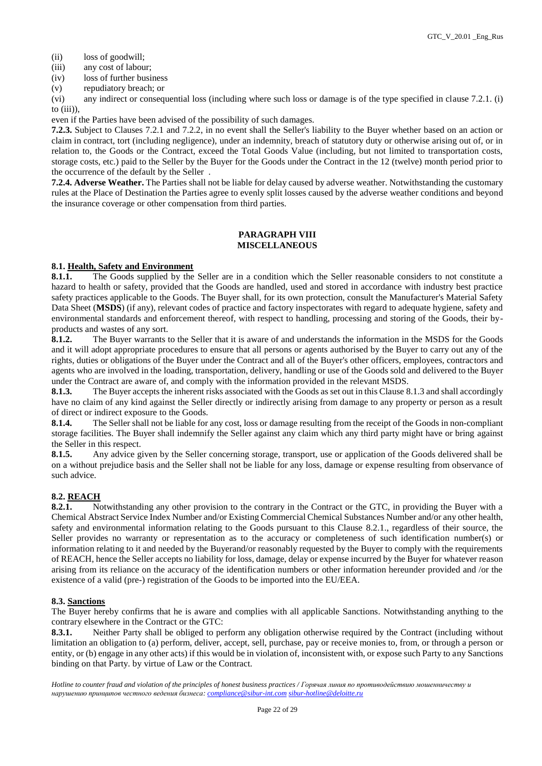- (ii) loss of goodwill;
- (iii) any cost of labour;
- (iv) loss of further business
- (v) repudiatory breach; or

(vi) any indirect or consequential loss (including where such loss or damage is of the type specified in clause 7.2.1. (i) to (iii)),

even if the Parties have been advised of the possibility of such damages.

**7.2.3.** Subject to Clauses 7.2.1 and 7.2.2, in no event shall the Seller's liability to the Buyer whether based on an action or claim in contract, tort (including negligence), under an indemnity, breach of statutory duty or otherwise arising out of, or in relation to, the Goods or the Contract, exceed the Total Goods Value (including, but not limited to transportation costs, storage costs, etc.) paid to the Seller by the Buyer for the Goods under the Contract in the 12 (twelve) month period prior to the occurrence of the default by the Seller .

**7.2.4. Adverse Weather.** The Parties shall not be liable for delay caused by adverse weather. Notwithstanding the customary rules at the Place of Destination the Parties agree to evenly split losses caused by the adverse weather conditions and beyond the insurance coverage or other compensation from third parties.

### **PARAGRAPH VIII MISCELLANEOUS**

# **8.1. Health, Safety and Environment**

8.1.1. The Goods supplied by the Seller are in a condition which the Seller reasonable considers to not constitute a hazard to health or safety, provided that the Goods are handled, used and stored in accordance with industry best practice safety practices applicable to the Goods. The Buyer shall, for its own protection, consult the Manufacturer's Material Safety Data Sheet (**MSDS**) (if any), relevant codes of practice and factory inspectorates with regard to adequate hygiene, safety and environmental standards and enforcement thereof, with respect to handling, processing and storing of the Goods, their byproducts and wastes of any sort.

**8.1.2.** The Buyer warrants to the Seller that it is aware of and understands the information in the MSDS for the Goods and it will adopt appropriate procedures to ensure that all persons or agents authorised by the Buyer to carry out any of the rights, duties or obligations of the Buyer under the Contract and all of the Buyer's other officers, employees, contractors and agents who are involved in the loading, transportation, delivery, handling or use of the Goods sold and delivered to the Buyer under the Contract are aware of, and comply with the information provided in the relevant MSDS.

**8.1.3.** The Buyer accepts the inherent risks associated with the Goods as set out in this Clause 8.1.3 and shall accordingly have no claim of any kind against the Seller directly or indirectly arising from damage to any property or person as a result of direct or indirect exposure to the Goods.

**8.1.4.** The Seller shall not be liable for any cost, loss or damage resulting from the receipt of the Goods in non-compliant storage facilities. The Buyer shall indemnify the Seller against any claim which any third party might have or bring against the Seller in this respect.

**8.1.5.** Any advice given by the Seller concerning storage, transport, use or application of the Goods delivered shall be on a without prejudice basis and the Seller shall not be liable for any loss, damage or expense resulting from observance of such advice.

# **8.2. REACH**

**8.2.1.** Notwithstanding any other provision to the contrary in the Contract or the GTC, in providing the Buyer with a Chemical Abstract Service Index Number and/or Existing Commercial Chemical Substances Number and/or any other health, safety and environmental information relating to the Goods pursuant to this Clause 8.2.1., regardless of their source, the Seller provides no warranty or representation as to the accuracy or completeness of such identification number(s) or information relating to it and needed by the Buyerand/or reasonably requested by the Buyer to comply with the requirements of REACH, hence the Seller accepts no liability for loss, damage, delay or expense incurred by the Buyer for whatever reason arising from its reliance on the accuracy of the identification numbers or other information hereunder provided and /or the existence of a valid (pre-) registration of the Goods to be imported into the EU/EEA.

# **8.3. Sanctions**

The Buyer hereby confirms that he is aware and complies with all applicable Sanctions. Notwithstanding anything to the contrary elsewhere in the Contract or the GTC:

**8.3.1.** Neither Party shall be obliged to perform any obligation otherwise required by the Contract (including without limitation an obligation to (a) perform, deliver, accept, sell, purchase, pay or receive monies to, from, or through a person or entity, or (b) engage in any other acts) if this would be in violation of, inconsistent with, or expose such Party to any Sanctions binding on that Party. by virtue of Law or the Contract.

*Hotline to counter fraud and violation of the principles of honest business practices / Горячая линия по противодействию мошенничеству и нарушению принципов честного ведения бизнеса: [compliance@sibur-int.com](mailto:compliance@sibur-int.com) [sibur-hotline@deloitte.ru](mailto:sibur-hotline@deloitte.ru)*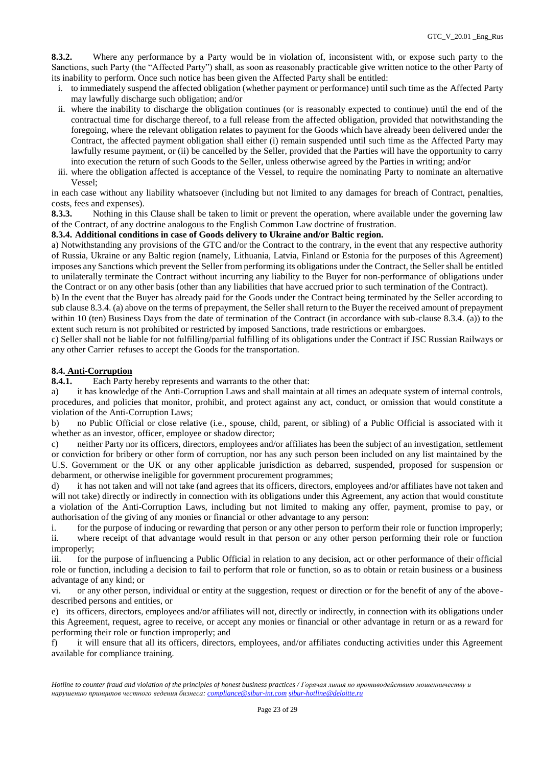**8.3.2.** Where any performance by a Party would be in violation of, inconsistent with, or expose such party to the Sanctions, such Party (the "Affected Party") shall, as soon as reasonably practicable give written notice to the other Party of its inability to perform. Once such notice has been given the Affected Party shall be entitled:

- i. to immediately suspend the affected obligation (whether payment or performance) until such time as the Affected Party may lawfully discharge such obligation; and/or
- ii. where the inability to discharge the obligation continues (or is reasonably expected to continue) until the end of the contractual time for discharge thereof, to a full release from the affected obligation, provided that notwithstanding the foregoing, where the relevant obligation relates to payment for the Goods which have already been delivered under the Contract, the affected payment obligation shall either (i) remain suspended until such time as the Affected Party may lawfully resume payment, or (ii) be cancelled by the Seller, provided that the Parties will have the opportunity to carry into execution the return of such Goods to the Seller, unless otherwise agreed by the Parties in writing; and/or
- iii. where the obligation affected is acceptance of the Vessel, to require the nominating Party to nominate an alternative Vessel;

in each case without any liability whatsoever (including but not limited to any damages for breach of Contract, penalties, costs, fees and expenses).

**8.3.3.** Nothing in this Clause shall be taken to limit or prevent the operation, where available under the governing law of the Contract, of any doctrine analogous to the English Common Law doctrine of frustration.

# **8.3.4. Additional conditions in case of Goods delivery to Ukraine and/or Baltic region.**

a) Notwithstanding any provisions of the GTC and/or the Contract to the contrary, in the event that any respective authority of Russia, Ukraine or any Baltic region (namely, Lithuania, Latvia, Finland or Estonia for the purposes of this Agreement) imposes any Sanctions which prevent the Seller from performing its obligations under the Contract, the Seller shall be entitled to unilaterally terminate the Contract without incurring any liability to the Buyer for non-performance of obligations under the Contract or on any other basis (other than any liabilities that have accrued prior to such termination of the Contract).

b) In the event that the Buyer has already paid for the Goods under the Contract being terminated by the Seller according to sub clause 8.3.4. (a) above on the terms of prepayment, the Seller shall return to the Buyer the received amount of prepayment within 10 (ten) Business Days from the date of termination of the Contract (in accordance with sub-clause 8.3.4. (a)) to the extent such return is not prohibited or restricted by imposed Sanctions, trade restrictions or embargoes.

c) Seller shall not be liable for not fulfilling/partial fulfilling of its obligations under the Contract if JSC Russian Railways or any other Carrier refuses to accept the Goods for the transportation.

# **8.4. Anti-Corruption**

**8.4.1.** Each Party hereby represents and warrants to the other that:

a) it has knowledge of the Anti-Corruption Laws and shall maintain at all times an adequate system of internal controls, procedures, and policies that monitor, prohibit, and protect against any act, conduct, or omission that would constitute a violation of the Anti-Corruption Laws;

b) no Public Official or close relative (i.e., spouse, child, parent, or sibling) of a Public Official is associated with it whether as an investor, officer, employee or shadow director;

c) neither Party nor its officers, directors, employees and/or affiliates has been the subject of an investigation, settlement or conviction for bribery or other form of corruption, nor has any such person been included on any list maintained by the U.S. Government or the UK or any other applicable jurisdiction as debarred, suspended, proposed for suspension or debarment, or otherwise ineligible for government procurement programmes;

d) it has not taken and will not take (and agrees that its officers, directors, employees and/or affiliates have not taken and will not take) directly or indirectly in connection with its obligations under this Agreement, any action that would constitute a violation of the Anti-Corruption Laws, including but not limited to making any offer, payment, promise to pay, or authorisation of the giving of any monies or financial or other advantage to any person:

i. for the purpose of inducing or rewarding that person or any other person to perform their role or function improperly; ii. where receipt of that advantage would result in that person or any other person performing their role or function improperly;

iii. for the purpose of influencing a Public Official in relation to any decision, act or other performance of their official role or function, including a decision to fail to perform that role or function, so as to obtain or retain business or a business advantage of any kind; or

vi. or any other person, individual or entity at the suggestion, request or direction or for the benefit of any of the abovedescribed persons and entities, or

e) its officers, directors, employees and/or affiliates will not, directly or indirectly, in connection with its obligations under this Agreement, request, agree to receive, or accept any monies or financial or other advantage in return or as a reward for performing their role or function improperly; and

f) it will ensure that all its officers, directors, employees, and/or affiliates conducting activities under this Agreement available for compliance training.

*Hotline to counter fraud and violation of the principles of honest business practices / Горячая линия по противодействию мошенничеству и нарушению принципов честного ведения бизнеса: [compliance@sibur-int.com](mailto:compliance@sibur-int.com) [sibur-hotline@deloitte.ru](mailto:sibur-hotline@deloitte.ru)*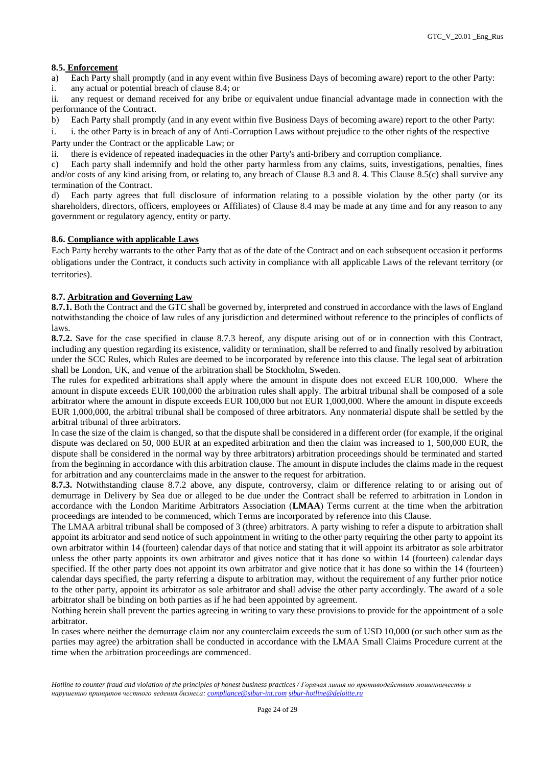### **8.5. Enforcement**

a) Each Party shall promptly (and in any event within five Business Days of becoming aware) report to the other Party:

i. any actual or potential breach of clause 8.4; or

ii. any request or demand received for any bribe or equivalent undue financial advantage made in connection with the performance of the Contract.

- b) Each Party shall promptly (and in any event within five Business Days of becoming aware) report to the other Party:
- i. i. the other Party is in breach of any of Anti-Corruption Laws without prejudice to the other rights of the respective Party under the Contract or the applicable Law; or
- ii. there is evidence of repeated inadequacies in the other Party's anti-bribery and corruption compliance.

c) Each party shall indemnify and hold the other party harmless from any claims, suits, investigations, penalties, fines and/or costs of any kind arising from, or relating to, any breach of Clause 8.3 and 8. 4. This Clause 8.5(c) shall survive any termination of the Contract.

d) Each party agrees that full disclosure of information relating to a possible violation by the other party (or its shareholders, directors, officers, employees or Affiliates) of Clause 8.4 may be made at any time and for any reason to any government or regulatory agency, entity or party.

#### **8.6. Compliance with applicable Laws**

Each Party hereby warrants to the other Party that as of the date of the Contract and on each subsequent occasion it performs obligations under the Contract, it conducts such activity in compliance with all applicable Laws of the relevant territory (or territories).

### **8.7. Arbitration and Governing Law**

**8.7.1.** Both the Contract and the GTC shall be governed by, interpreted and construed in accordance with the laws of England notwithstanding the choice of law rules of any jurisdiction and determined without reference to the principles of conflicts of laws.

**8.7.2.** Save for the case specified in clause 8.7.3 hereof, any dispute arising out of or in connection with this Contract, including any question regarding its existence, validity or termination, shall be referred to and finally resolved by arbitration under the SCC Rules, which Rules are deemed to be incorporated by reference into this clause. The legal seat of arbitration shall be London, UK, and venue of the arbitration shall be Stockholm, Sweden.

The rules for expedited arbitrations shall apply where the amount in dispute does not exceed EUR 100,000. Where the amount in dispute exceeds EUR 100,000 the arbitration rules shall apply. The arbitral tribunal shall be composed of a sole arbitrator where the amount in dispute exceeds EUR 100,000 but not EUR 1,000,000. Where the amount in dispute exceeds EUR 1,000,000, the arbitral tribunal shall be composed of three arbitrators. Any nonmaterial dispute shall be settled by the arbitral tribunal of three arbitrators.

In case the size of the claim is changed, so that the dispute shall be considered in a different order (for example, if the original dispute was declared on 50, 000 EUR at an expedited arbitration and then the claim was increased to 1, 500,000 EUR, the dispute shall be considered in the normal way by three arbitrators) arbitration proceedings should be terminated and started from the beginning in accordance with this arbitration clause. The amount in dispute includes the claims made in the request for arbitration and any counterclaims made in the answer to the request for arbitration.

**8.7.3.** Notwithstanding clause 8.7.2 above, any dispute, controversy, claim or difference relating to or arising out of demurrage in Delivery by Sea due or alleged to be due under the Contract shall be referred to arbitration in London in accordance with the London Maritime Arbitrators Association (**LMAA**) Terms current at the time when the arbitration proceedings are intended to be commenced, which Terms are incorporated by reference into this Clause.

The LMAA arbitral tribunal shall be composed of 3 (three) arbitrators. A party wishing to refer a dispute to arbitration shall appoint its arbitrator and send notice of such appointment in writing to the other party requiring the other party to appoint its own arbitrator within 14 (fourteen) calendar days of that notice and stating that it will appoint its arbitrator as sole arbitrator unless the other party appoints its own arbitrator and gives notice that it has done so within 14 (fourteen) calendar days specified. If the other party does not appoint its own arbitrator and give notice that it has done so within the 14 (fourteen) calendar days specified, the party referring a dispute to arbitration may, without the requirement of any further prior notice to the other party, appoint its arbitrator as sole arbitrator and shall advise the other party accordingly. The award of a sole arbitrator shall be binding on both parties as if he had been appointed by agreement.

Nothing herein shall prevent the parties agreeing in writing to vary these provisions to provide for the appointment of a sole arbitrator.

In cases where neither the demurrage claim nor any counterclaim exceeds the sum of USD 10,000 (or such other sum as the parties may agree) the arbitration shall be conducted in accordance with the LMAA Small Claims Procedure current at the time when the arbitration proceedings are commenced.

*Hotline to counter fraud and violation of the principles of honest business practices / Горячая линия по противодействию мошенничеству и нарушению принципов честного ведения бизнеса: [compliance@sibur-int.com](mailto:compliance@sibur-int.com) [sibur-hotline@deloitte.ru](mailto:sibur-hotline@deloitte.ru)*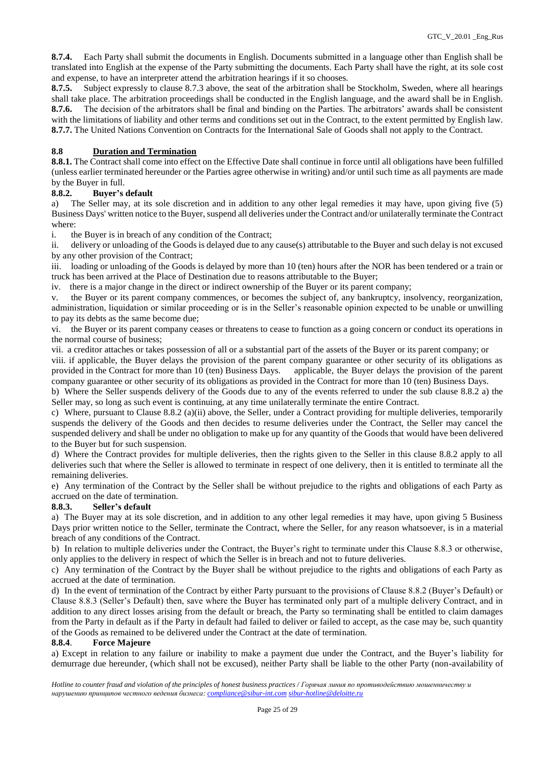**8.7.4.** Each Party shall submit the documents in English. Documents submitted in a language other than English shall be translated into English at the expense of the Party submitting the documents. Each Party shall have the right, at its sole cost and expense, to have an interpreter attend the arbitration hearings if it so chooses.

**8.7.5.** Subject expressly to clause 8.7.3 above, the seat of the arbitration shall be Stockholm, Sweden, where all hearings shall take place. The arbitration proceedings shall be conducted in the English language, and the award shall be in English. **8.7.6.** The decision of the arbitrators shall be final and binding on the Parties. The arbitrators' awards shall be consistent with the limitations of liability and other terms and conditions set out in the Contract, to the extent permitted by English law. **8.7.7.** The United Nations Convention on Contracts for the International Sale of Goods shall not apply to the Contract.

# **8.8 Duration and Termination**

8.8.1. The Contract shall come into effect on the Effective Date shall continue in force until all obligations have been fulfilled (unless earlier terminated hereunder or the Parties agree otherwise in writing) and/or until such time as all payments are made by the Buyer in full.

# **8.8.2. Buyer's default**

a) The Seller may, at its sole discretion and in addition to any other legal remedies it may have, upon giving five (5) Business Days' written notice to the Buyer, suspend all deliveries under the Contract and/or unilaterally terminate the Contract where:

i. the Buyer is in breach of any condition of the Contract;

ii. delivery or unloading of the Goods is delayed due to any cause(s) attributable to the Buyer and such delay is not excused by any other provision of the Contract;

iii. loading or unloading of the Goods is delayed by more than 10 (ten) hours after the NOR has been tendered or a train or truck has been arrived at the Place of Destination due to reasons attributable to the Buyer;

iv. there is a major change in the direct or indirect ownership of the Buyer or its parent company;

v. the Buyer or its parent company commences, or becomes the subject of, any bankruptcy, insolvency, reorganization, administration, liquidation or similar proceeding or is in the Seller's reasonable opinion expected to be unable or unwilling to pay its debts as the same become due;

vi. the Buyer or its parent company ceases or threatens to cease to function as a going concern or conduct its operations in the normal course of business;

vii. a creditor attaches or takes possession of all or a substantial part of the assets of the Buyer or its parent company; or

viii. if applicable, the Buyer delays the provision of the parent company guarantee or other security of its obligations as provided in the Contract for more than 10 (ten) Business Days. applicable, the Buyer delays the provision of the parent company guarantee or other security of its obligations as provided in the Contract for more than 10 (ten) Business Days.

b) Where the Seller suspends delivery of the Goods due to any of the events referred to under the sub clause 8.8.2 a) the Seller may, so long as such event is continuing, at any time unilaterally terminate the entire Contract.

c) Where, pursuant to Clause 8.8.2 (a)(ii) above, the Seller, under a Contract providing for multiple deliveries, temporarily suspends the delivery of the Goods and then decides to resume deliveries under the Contract, the Seller may cancel the suspended delivery and shall be under no obligation to make up for any quantity of the Goods that would have been delivered to the Buyer but for such suspension.

d) Where the Contract provides for multiple deliveries, then the rights given to the Seller in this clause 8.8.2 apply to all deliveries such that where the Seller is allowed to terminate in respect of one delivery, then it is entitled to terminate all the remaining deliveries.

e) Any termination of the Contract by the Seller shall be without prejudice to the rights and obligations of each Party as accrued on the date of termination.

# **8.8.3. Seller's default**

a) The Buyer may at its sole discretion, and in addition to any other legal remedies it may have, upon giving 5 Business Days prior written notice to the Seller, terminate the Contract, where the Seller, for any reason whatsoever, is in a material breach of any conditions of the Contract.

b) In relation to multiple deliveries under the Contract, the Buyer's right to terminate under this Clause 8.8.3 or otherwise, only applies to the delivery in respect of which the Seller is in breach and not to future deliveries.

c) Any termination of the Contract by the Buyer shall be without prejudice to the rights and obligations of each Party as accrued at the date of termination.

d) In the event of termination of the Contract by either Party pursuant to the provisions of Clause 8.8.2 (Buyer's Default) or Clause 8.8.3 (Seller's Default) then, save where the Buyer has terminated only part of a multiple delivery Contract, and in addition to any direct losses arising from the default or breach, the Party so terminating shall be entitled to claim damages from the Party in default as if the Party in default had failed to deliver or failed to accept, as the case may be, such quantity of the Goods as remained to be delivered under the Contract at the date of termination.

#### **8.8.4**. **Force Majeure**

a) Except in relation to any failure or inability to make a payment due under the Contract, and the Buyer's liability for demurrage due hereunder, (which shall not be excused), neither Party shall be liable to the other Party (non-availability of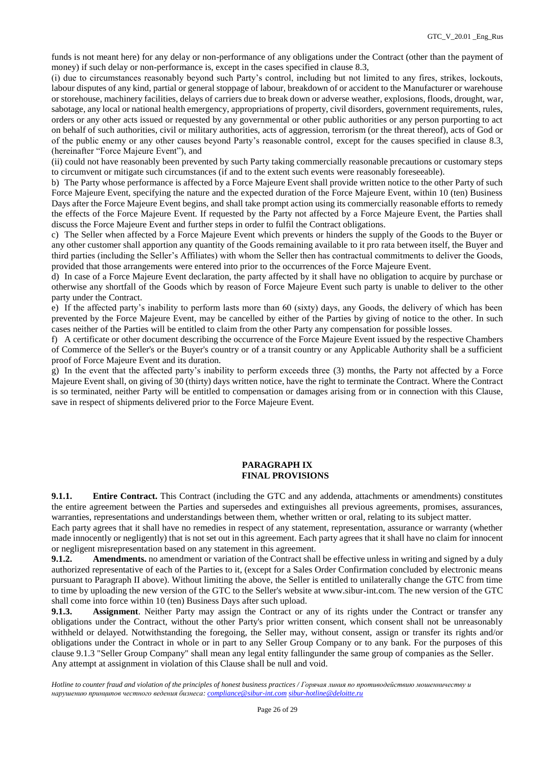funds is not meant here) for any delay or non-performance of any obligations under the Contract (other than the payment of money) if such delay or non-performance is, except in the cases specified in clause 8.3,

(i) due to circumstances reasonably beyond such Party's control, including but not limited to any fires, strikes, lockouts, labour disputes of any kind, partial or general stoppage of labour, breakdown of or accident to the Manufacturer or warehouse or storehouse, machinery facilities, delays of carriers due to break down or adverse weather, explosions, floods, drought, war, sabotage, any local or national health emergency, appropriations of property, civil disorders, government requirements, rules, orders or any other acts issued or requested by any governmental or other public authorities or any person purporting to act on behalf of such authorities, civil or military authorities, acts of aggression, terrorism (or the threat thereof), acts of God or of the public enemy or any other causes beyond Party's reasonable control, except for the causes specified in clause 8.3, (hereinafter "Force Majeure Event"), and

(ii) could not have reasonably been prevented by such Party taking commercially reasonable precautions or customary steps to circumvent or mitigate such circumstances (if and to the extent such events were reasonably foreseeable).

b) The Party whose performance is affected by a Force Majeure Event shall provide written notice to the other Party of such Force Majeure Event, specifying the nature and the expected duration of the Force Majeure Event, within 10 (ten) Business Days after the Force Majeure Event begins, and shall take prompt action using its commercially reasonable efforts to remedy the effects of the Force Majeure Event. If requested by the Party not affected by a Force Majeure Event, the Parties shall discuss the Force Majeure Event and further steps in order to fulfil the Contract obligations.

c) The Seller when affected by a Force Majeure Event which prevents or hinders the supply of the Goods to the Buyer or any other customer shall apportion any quantity of the Goods remaining available to it pro rata between itself, the Buyer and third parties (including the Seller's Affiliates) with whom the Seller then has contractual commitments to deliver the Goods, provided that those arrangements were entered into prior to the occurrences of the Force Majeure Event.

d) In case of a Force Majeure Event declaration, the party affected by it shall have no obligation to acquire by purchase or otherwise any shortfall of the Goods which by reason of Force Majeure Event such party is unable to deliver to the other party under the Contract.

e) If the affected party's inability to perform lasts more than 60 (sixty) days, any Goods, the delivery of which has been prevented by the Force Majeure Event, may be cancelled by either of the Parties by giving of notice to the other. In such cases neither of the Parties will be entitled to claim from the other Party any compensation for possible losses.

f) A certificate or other document describing the occurrence of the Force Majeure Event issued by the respective Chambers of Commerce of the Seller's or the Buyer's country or of a transit country or any Applicable Authority shall be a sufficient proof of Force Majeure Event and its duration.

g) In the event that the affected party's inability to perform exceeds three (3) months, the Party not affected by a Force Majeure Event shall, on giving of 30 (thirty) days written notice, have the right to terminate the Contract. Where the Contract is so terminated, neither Party will be entitled to compensation or damages arising from or in connection with this Clause, save in respect of shipments delivered prior to the Force Majeure Event.

### **PARAGRAPH IX FINAL PROVISIONS**

**9.1.1. Entire Contract.** This Contract (including the GTC and any addenda, attachments or amendments) constitutes the entire agreement between the Parties and supersedes and extinguishes all previous agreements, promises, assurances, warranties, representations and understandings between them, whether written or oral, relating to its subject matter.

Each party agrees that it shall have no remedies in respect of any statement, representation, assurance or warranty (whether made innocently or negligently) that is not set out in this agreement. Each party agrees that it shall have no claim for innocent or negligent misrepresentation based on any statement in this agreement.

**9.1.2. Amendments.** no amendment or variation of the Contract shall be effective unless in writing and signed by a duly authorized representative of each of the Parties to it, (except for a Sales Order Confirmation concluded by electronic means pursuant to Paragraph II above). Without limiting the above, the Seller is entitled to unilaterally change the GTC from time to time by uploading the new version of the GTC to the Seller's website at www.sibur-int.com. The new version of the GTC shall come into force within 10 (ten) Business Days after such upload.

**9.1.3. Assignment**. Neither Party may assign the Contract or any of its rights under the Contract or transfer any obligations under the Contract, without the other Party's prior written consent, which consent shall not be unreasonably withheld or delayed. Notwithstanding the foregoing, the Seller may, without consent, assign or transfer its rights and/or obligations under the Contract in whole or in part to any Seller Group Company or to any bank. For the purposes of this clause 9.1.3 "Seller Group Company" shall mean any legal entity fallingunder the same group of companies as the Seller. Any attempt at assignment in violation of this Clause shall be null and void.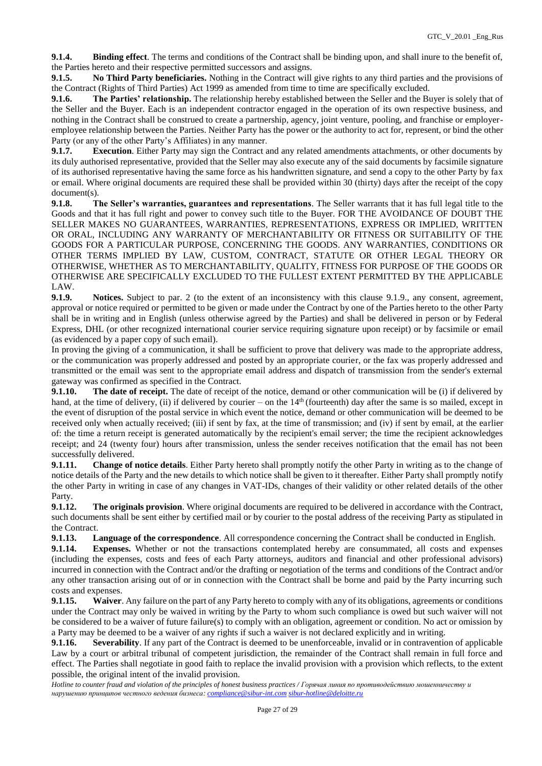**9.1.4. Binding effect**. The terms and conditions of the Contract shall be binding upon, and shall inure to the benefit of, the Parties hereto and their respective permitted successors and assigns.

**9.1.5. No Third Party beneficiaries.** Nothing in the Contract will give rights to any third parties and the provisions of the Contract (Rights of Third Parties) Act 1999 as amended from time to time are specifically excluded.

**9.1.6. The Parties' relationship.** The relationship hereby established between the Seller and the Buyer is solely that of the Seller and the Buyer. Each is an independent contractor engaged in the operation of its own respective business, and nothing in the Contract shall be construed to create a partnership, agency, joint venture, pooling, and franchise or employeremployee relationship between the Parties. Neither Party has the power or the authority to act for, represent, or bind the other Party (or any of the other Party's Affiliates) in any manner.

**9.1.7. Execution**. Either Party may sign the Contract and any related amendments attachments, or other documents by its duly authorised representative, provided that the Seller may also execute any of the said documents by facsimile signature of its authorised representative having the same force as his handwritten signature, and send a copy to the other Party by fax or email. Where original documents are required these shall be provided within 30 (thirty) days after the receipt of the copy document(s).

**9.1.8. The Seller's warranties, guarantees and representations**. The Seller warrants that it has full legal title to the Goods and that it has full right and power to convey such title to the Buyer. FOR THE AVOIDANCE OF DOUBT THE SELLER MAKES NO GUARANTEES, WARRANTIES, REPRESENTATIONS, EXPRESS OR IMPLIED, WRITTEN OR ORAL, INCLUDING ANY WARRANTY OF MERCHANTABILITY OR FITNESS OR SUITABILITY OF THE GOODS FOR A PARTICULAR PURPOSE, CONCERNING THE GOODS. ANY WARRANTIES, CONDITIONS OR OTHER TERMS IMPLIED BY LAW, CUSTOM, CONTRACT, STATUTE OR OTHER LEGAL THEORY OR OTHERWISE, WHETHER AS TO MERCHANTABILITY, QUALITY, FITNESS FOR PURPOSE OF THE GOODS OR OTHERWISE ARE SPECIFICALLY EXCLUDED TO THE FULLEST EXTENT PERMITTED BY THE APPLICABLE LAW.

**9.1.9. Notices.** Subject to par. 2 (to the extent of an inconsistency with this clause 9.1.9., any consent, agreement, approval or notice required or permitted to be given or made under the Contract by one of the Parties hereto to the other Party shall be in writing and in English (unless otherwise agreed by the Parties) and shall be delivered in person or by Federal Express, DHL (or other recognized international courier service requiring signature upon receipt) or by facsimile or email (as evidenced by a paper copy of such email).

In proving the giving of a communication, it shall be sufficient to prove that delivery was made to the appropriate address, or the communication was properly addressed and posted by an appropriate courier, or the fax was properly addressed and transmitted or the email was sent to the appropriate email address and dispatch of transmission from the sender's external gateway was confirmed as specified in the Contract.

**9.1.10.** The date of receipt. The date of receipt of the notice, demand or other communication will be (i) if delivered by hand, at the time of delivery, (ii) if delivered by courier – on the  $14<sup>th</sup>$  (fourteenth) day after the same is so mailed, except in the event of disruption of the postal service in which event the notice, demand or other communication will be deemed to be received only when actually received; (iii) if sent by fax, at the time of transmission; and (iv) if sent by email, at the earlier of: the time a return receipt is generated automatically by the recipient's email server; the time the recipient acknowledges receipt; and 24 (twenty four) hours after transmission, unless the sender receives notification that the email has not been successfully delivered.

**9.1.11. Change of notice details**. Either Party hereto shall promptly notify the other Party in writing as to the change of notice details of the Party and the new details to which notice shall be given to it thereafter. Either Party shall promptly notify the other Party in writing in case of any changes in VAT-IDs, changes of their validity or other related details of the other Party.

**9.1.12. The originals provision**. Where original documents are required to be delivered in accordance with the Contract, such documents shall be sent either by certified mail or by courier to the postal address of the receiving Party as stipulated in the Contract.

**9.1.13. Language of the correspondence**. All correspondence concerning the Contract shall be conducted in English.

**9.1.14. Expenses.** Whether or not the transactions contemplated hereby are consummated, all costs and expenses (including the expenses, costs and fees of each Party attorneys, auditors and financial and other professional advisors) incurred in connection with the Contract and/or the drafting or negotiation of the terms and conditions of the Contract and/or any other transaction arising out of or in connection with the Contract shall be borne and paid by the Party incurring such costs and expenses.

**9.1.15. Waiver**. Any failure on the part of any Party hereto to comply with any of its obligations, agreements or conditions under the Contract may only be waived in writing by the Party to whom such compliance is owed but such waiver will not be considered to be a waiver of future failure(s) to comply with an obligation, agreement or condition. No act or omission by a Party may be deemed to be a waiver of any rights if such a waiver is not declared explicitly and in writing.

**9.1.16. Severability**. If any part of the Contract is deemed to be unenforceable, invalid or in contravention of applicable Law by a court or arbitral tribunal of competent jurisdiction, the remainder of the Contract shall remain in full force and effect. The Parties shall negotiate in good faith to replace the invalid provision with a provision which reflects, to the extent possible, the original intent of the invalid provision.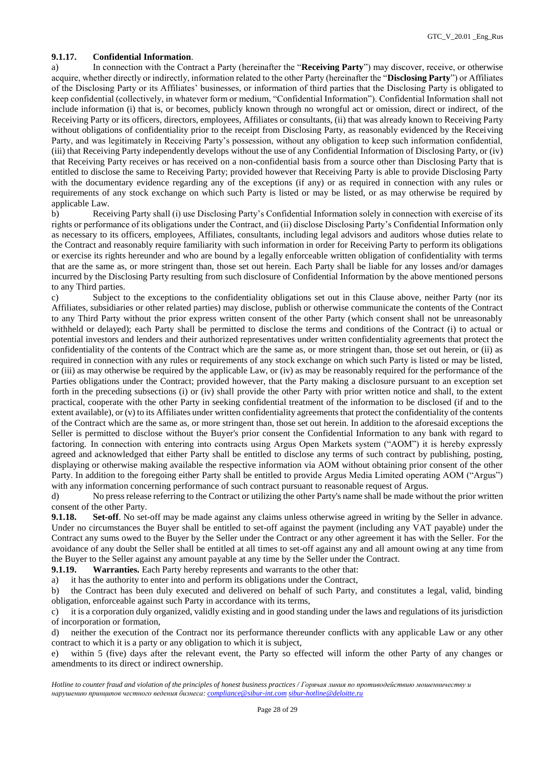### **9.1.17. Confidential Information**.

a) In connection with the Contract a Party (hereinafter the "**Receiving Party**") may discover, receive, or otherwise acquire, whether directly or indirectly, information related to the other Party (hereinafter the "**Disclosing Party**") or Affiliates of the Disclosing Party or its Affiliates' businesses, or information of third parties that the Disclosing Party is obligated to keep confidential (collectively, in whatever form or medium, "Confidential Information"). Confidential Information shall not include information (i) that is, or becomes, publicly known through no wrongful act or omission, direct or indirect, of the Receiving Party or its officers, directors, employees, Affiliates or consultants, (ii) that was already known to Receiving Party without obligations of confidentiality prior to the receipt from Disclosing Party, as reasonably evidenced by the Receiving Party, and was legitimately in Receiving Party's possession, without any obligation to keep such information confidential, (iii) that Receiving Party independently develops without the use of any Confidential Information of Disclosing Party, or (iv) that Receiving Party receives or has received on a non-confidential basis from a source other than Disclosing Party that is entitled to disclose the same to Receiving Party; provided however that Receiving Party is able to provide Disclosing Party with the documentary evidence regarding any of the exceptions (if any) or as required in connection with any rules or requirements of any stock exchange on which such Party is listed or may be listed, or as may otherwise be required by applicable Law.

b) Receiving Party shall (i) use Disclosing Party's Confidential Information solely in connection with exercise of its rights or performance of its obligations under the Contract, and (ii) disclose Disclosing Party's Confidential Information only as necessary to its officers, employees, Affiliates, consultants, including legal advisors and auditors whose duties relate to the Contract and reasonably require familiarity with such information in order for Receiving Party to perform its obligations or exercise its rights hereunder and who are bound by a legally enforceable written obligation of confidentiality with terms that are the same as, or more stringent than, those set out herein. Each Party shall be liable for any losses and/or damages incurred by the Disclosing Party resulting from such disclosure of Confidential Information by the above mentioned persons to any Third parties.

c) Subject to the exceptions to the confidentiality obligations set out in this Clause above, neither Party (nor its Affiliates, subsidiaries or other related parties) may disclose, publish or otherwise communicate the contents of the Contract to any Third Party without the prior express written consent of the other Party (which consent shall not be unreasonably withheld or delayed); each Party shall be permitted to disclose the terms and conditions of the Contract (i) to actual or potential investors and lenders and their authorized representatives under written confidentiality agreements that protect the confidentiality of the contents of the Contract which are the same as, or more stringent than, those set out herein, or (ii) as required in connection with any rules or requirements of any stock exchange on which such Party is listed or may be listed, or (iii) as may otherwise be required by the applicable Law, or (iv) as may be reasonably required for the performance of the Parties obligations under the Contract; provided however, that the Party making a disclosure pursuant to an exception set forth in the preceding subsections (i) or (iv) shall provide the other Party with prior written notice and shall, to the extent practical, cooperate with the other Party in seeking confidential treatment of the information to be disclosed (if and to the extent available), or (v) to its Affiliates under written confidentiality agreements that protect the confidentiality of the contents of the Contract which are the same as, or more stringent than, those set out herein. In addition to the aforesaid exceptions the Seller is permitted to disclose without the Buyer's prior consent the Confidential Information to any bank with regard to factoring. In connection with entering into contracts using Argus Open Markets system ("AOM") it is hereby expressly agreed and acknowledged that either Party shall be entitled to disclose any terms of such contract by publishing, posting, displaying or otherwise making available the respective information via AOM without obtaining prior consent of the other Party. In addition to the foregoing either Party shall be entitled to provide Argus Media Limited operating AOM ("Argus") with any information concerning performance of such contract pursuant to reasonable request of Argus.

d) No press release referring to the Contract or utilizing the other Party's name shall be made without the prior written consent of the other Party.

**9.1.18. Set-off**. No set-off may be made against any claims unless otherwise agreed in writing by the Seller in advance. Under no circumstances the Buyer shall be entitled to set-off against the payment (including any VAT payable) under the Contract any sums owed to the Buyer by the Seller under the Contract or any other agreement it has with the Seller. For the avoidance of any doubt the Seller shall be entitled at all times to set-off against any and all amount owing at any time from the Buyer to the Seller against any amount payable at any time by the Seller under the Contract.

**9.1.19. Warranties.** Each Party hereby represents and warrants to the other that:

a) it has the authority to enter into and perform its obligations under the Contract,

b) the Contract has been duly executed and delivered on behalf of such Party, and constitutes a legal, valid, binding obligation, enforceable against such Party in accordance with its terms,

c) it is a corporation duly organized, validly existing and in good standing under the laws and regulations of its jurisdiction of incorporation or formation,

d) neither the execution of the Contract nor its performance thereunder conflicts with any applicable Law or any other contract to which it is a party or any obligation to which it is subject,

e) within 5 (five) days after the relevant event, the Party so effected will inform the other Party of any changes or amendments to its direct or indirect ownership.

*Hotline to counter fraud and violation of the principles of honest business practices / Горячая линия по противодействию мошенничеству и нарушению принципов честного ведения бизнеса: [compliance@sibur-int.com](mailto:compliance@sibur-int.com) [sibur-hotline@deloitte.ru](mailto:sibur-hotline@deloitte.ru)*